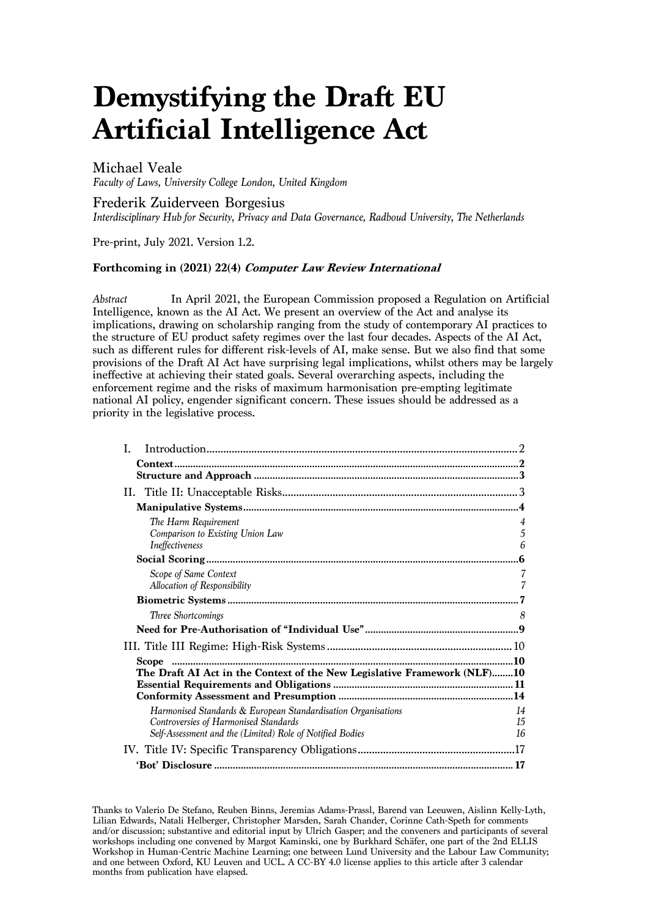# **Demystifying the Draft EU Artificial Intelligence Act**

# Michael Veale

*Faculty of Laws, University College London, United Kingdom*

# Frederik Zuiderveen Borgesius

*Interdisciplinary Hub for Security, Privacy and Data Governance, Radboud University, The Netherlands*

Pre-print, July 2021. Version 1.2.

#### **Forthcoming in (2021) 22(4) Computer Law Review International**

*Abstract* In April 2021, the European Commission proposed a Regulation on Artificial Intelligence, known as the AI Act. We present an overview of the Act and analyse its implications, drawing on scholarship ranging from the study of contemporary AI practices to the structure of EU product safety regimes over the last four decades. Aspects of the AI Act, such as different rules for different risk-levels of AI, make sense. But we also find that some provisions of the Draft AI Act have surprising legal implications, whilst others may be largely ineffective at achieving their stated goals. Several overarching aspects, including the enforcement regime and the risks of maximum harmonisation pre-empting legitimate national AI policy, engender significant concern. These issues should be addressed as a priority in the legislative process.

| Ι.                                                                                                                                                                  |                |
|---------------------------------------------------------------------------------------------------------------------------------------------------------------------|----------------|
|                                                                                                                                                                     |                |
|                                                                                                                                                                     |                |
|                                                                                                                                                                     |                |
| The Harm Requirement<br>Comparison to Existing Union Law<br>Ineffectiveness                                                                                         | 5<br>6         |
|                                                                                                                                                                     |                |
| Scope of Same Context<br>Allocation of Responsibility                                                                                                               | 7              |
|                                                                                                                                                                     |                |
| Three Shortcomings                                                                                                                                                  | 8              |
|                                                                                                                                                                     |                |
|                                                                                                                                                                     |                |
|                                                                                                                                                                     |                |
| The Draft AI Act in the Context of the New Legislative Framework (NLF)10                                                                                            |                |
| Harmonised Standards & European Standardisation Organisations<br>Controversies of Harmonised Standards<br>Self-Assessment and the (Limited) Role of Notified Bodies | 14<br>15<br>16 |
|                                                                                                                                                                     |                |
|                                                                                                                                                                     |                |

Thanks to Valerio De Stefano, Reuben Binns, Jeremias Adams-Prassl, Barend van Leeuwen, Aislinn Kelly-Lyth, Lilian Edwards, Natali Helberger, Christopher Marsden, Sarah Chander, Corinne Cath-Speth for comments and/or discussion; substantive and editorial input by Ulrich Gasper; and the conveners and participants of several workshops including one convened by Margot Kaminski, one by Burkhard Schäfer, one part of the 2nd ELLIS Workshop in Human-Centric Machine Learning; one between Lund University and the Labour Law Community; and one between Oxford, KU Leuven and UCL. A CC-BY 4.0 license applies to this article after 3 calendar months from publication have elapsed.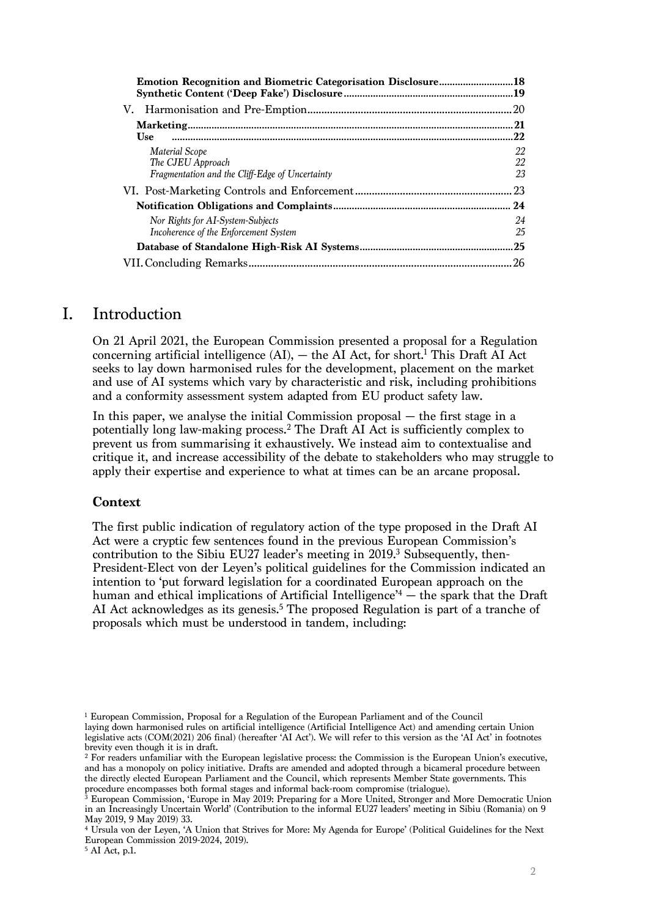| <b>Emotion Recognition and Biometric Categorisation Disclosure18</b>                          |                |
|-----------------------------------------------------------------------------------------------|----------------|
|                                                                                               |                |
|                                                                                               | .20            |
|                                                                                               | 21             |
| <b>Use</b>                                                                                    | .22            |
| <b>Material Scope</b><br>The CJEU Approach<br>Fragmentation and the Cliff-Edge of Uncertainty | 22<br>22<br>23 |
|                                                                                               | 23             |
|                                                                                               | 24             |
| Nor Rights for AI-System-Subjects<br>Incoherence of the Enforcement System                    | 24<br>25       |
|                                                                                               | .25            |
|                                                                                               | -26            |

# I. Introduction

On 21 April 2021, the European Commission presented a proposal for a Regulation concerning artificial intelligence (AI), — the AI Act, for short. <sup>1</sup> This Draft AI Act seeks to lay down harmonised rules for the development, placement on the market and use of AI systems which vary by characteristic and risk, including prohibitions and a conformity assessment system adapted from EU product safety law.

In this paper, we analyse the initial Commission proposal — the first stage in a potentially long law-making process.2 The Draft AI Act is sufficiently complex to prevent us from summarising it exhaustively. We instead aim to contextualise and critique it, and increase accessibility of the debate to stakeholders who may struggle to apply their expertise and experience to what at times can be an arcane proposal.

#### **Context**

The first public indication of regulatory action of the type proposed in the Draft AI Act were a cryptic few sentences found in the previous European Commission's contribution to the Sibiu EU27 leader's meeting in 2019. <sup>3</sup> Subsequently, then-President-Elect von der Leyen's political guidelines for the Commission indicated an intention to 'put forward legislation for a coordinated European approach on the human and ethical implications of Artificial Intelligence<sup> $4$ </sup> – the spark that the Draft AI Act acknowledges as its genesis. <sup>5</sup> The proposed Regulation is part of a tranche of proposals which must be understood in tandem, including:

<sup>1</sup> European Commission, Proposal for a Regulation of the European Parliament and of the Council laying down harmonised rules on artificial intelligence (Artificial Intelligence Act) and amending certain Union legislative acts (COM(2021) 206 final) (hereafter 'AI Act'). We will refer to this version as the 'AI Act' in footnotes brevity even though it is in draft.

<sup>&</sup>lt;sup>2</sup> For readers unfamiliar with the European legislative process: the Commission is the European Union's executive, and has a monopoly on policy initiative. Drafts are amended and adopted through a bicameral procedure between the directly elected European Parliament and the Council, which represents Member State governments. This procedure encompasses both formal stages and informal back-room compromise (trialogue).

<sup>&</sup>lt;sup>3</sup> European Commission, 'Europe in May 2019: Preparing for a More United, Stronger and More Democratic Union in an Increasingly Uncertain World' (Contribution to the informal EU27 leaders' meeting in Sibiu (Romania) on 9 May 2019, 9 May 2019) 33.

<sup>4</sup> Ursula von der Leyen, 'A Union that Strives for More: My Agenda for Europe' (Political Guidelines for the Next European Commission 2019-2024, 2019).

 $<sup>5</sup>$  AI Act, p.1.</sup>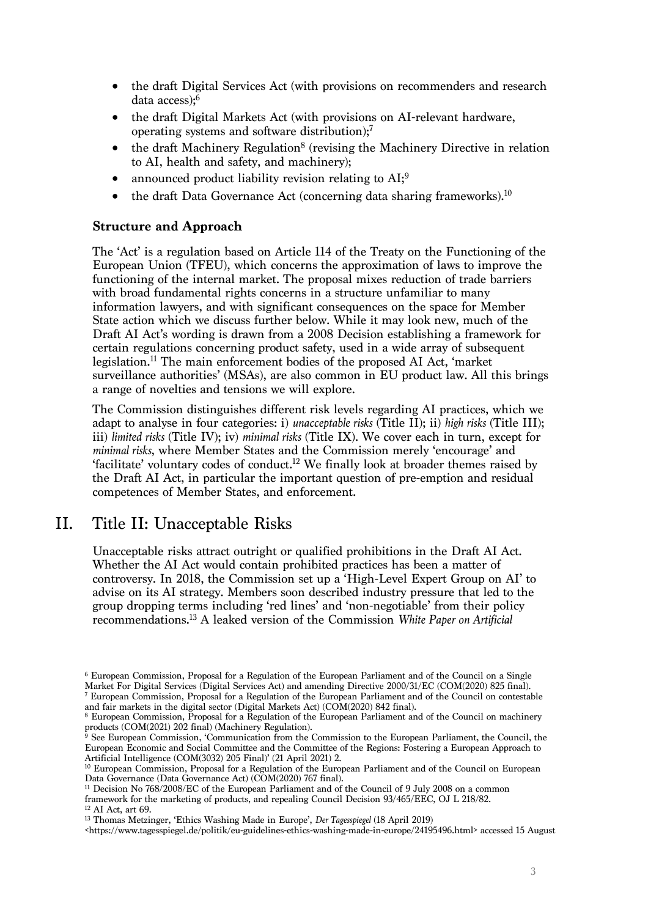- the draft Digital Services Act (with provisions on recommenders and research data access);6
- the draft Digital Markets Act (with provisions on AI-relevant hardware, operating systems and software distribution);7
- the draft Machinery Regulation<sup>8</sup> (revising the Machinery Directive in relation to AI, health and safety, and machinery);
- announced product liability revision relating to AI;<sup>9</sup>
- the draft Data Governance Act (concerning data sharing frameworks).<sup>10</sup>

## **Structure and Approach**

The 'Act' is a regulation based on Article 114 of the Treaty on the Functioning of the European Union (TFEU), which concerns the approximation of laws to improve the functioning of the internal market. The proposal mixes reduction of trade barriers with broad fundamental rights concerns in a structure unfamiliar to many information lawyers, and with significant consequences on the space for Member State action which we discuss further below. While it may look new, much of the Draft AI Act's wording is drawn from a 2008 Decision establishing a framework for certain regulations concerning product safety, used in a wide array of subsequent legislation. <sup>11</sup> The main enforcement bodies of the proposed AI Act, 'market surveillance authorities' (MSAs), are also common in EU product law. All this brings a range of novelties and tensions we will explore.

The Commission distinguishes different risk levels regarding AI practices, which we adapt to analyse in four categories: i) *unacceptable risks* (Title II); ii) *high risks* (Title III); iii) *limited risks* (Title IV); iv) *minimal risks* (Title IX). We cover each in turn, except for *minimal risks*, where Member States and the Commission merely 'encourage' and 'facilitate' voluntary codes of conduct.12 We finally look at broader themes raised by the Draft AI Act, in particular the important question of pre-emption and residual competences of Member States, and enforcement.

# II. Title II: Unacceptable Risks

Unacceptable risks attract outright or qualified prohibitions in the Draft AI Act. Whether the AI Act would contain prohibited practices has been a matter of controversy. In 2018, the Commission set up a 'High-Level Expert Group on AI' to advise on its AI strategy. Members soon described industry pressure that led to the group dropping terms including 'red lines' and 'non-negotiable' from their policy recommendations. <sup>13</sup> A leaked version of the Commission *White Paper on Artificial* 

<sup>6</sup> European Commission, Proposal for a Regulation of the European Parliament and of the Council on a Single Market For Digital Services (Digital Services Act) and amending Directive 2000/31/EC (COM(2020) 825 final).

<sup>7</sup> European Commission, Proposal for a Regulation of the European Parliament and of the Council on contestable and fair markets in the digital sector (Digital Markets Act) (COM(2020) 842 final).

<sup>8</sup> European Commission, Proposal for a Regulation of the European Parliament and of the Council on machinery products (COM(2021) 202 final) (Machinery Regulation).

<sup>9</sup> See European Commission, 'Communication from the Commission to the European Parliament, the Council, the European Economic and Social Committee and the Committee of the Regions: Fostering a European Approach to Artificial Intelligence (COM(3032) 205 Final)' (21 April 2021) 2.

<sup>&</sup>lt;sup>10</sup> European Commission, Proposal for a Regulation of the European Parliament and of the Council on European Data Governance (Data Governance Act) (COM(2020) 767 final).

<sup>11</sup> Decision No 768/2008/EC of the European Parliament and of the Council of 9 July 2008 on a common framework for the marketing of products, and repealing Council Decision 93/465/EEC, OJ L 218/82.

<sup>12</sup> AI Act, art 69.

<sup>13</sup> Thomas Metzinger, 'Ethics Washing Made in Europe', *Der Tagesspiegel* (18 April 2019)

<sup>&</sup>lt;https://www.tagesspiegel.de/politik/eu-guidelines-ethics-washing-made-in-europe/24195496.html> accessed 15 August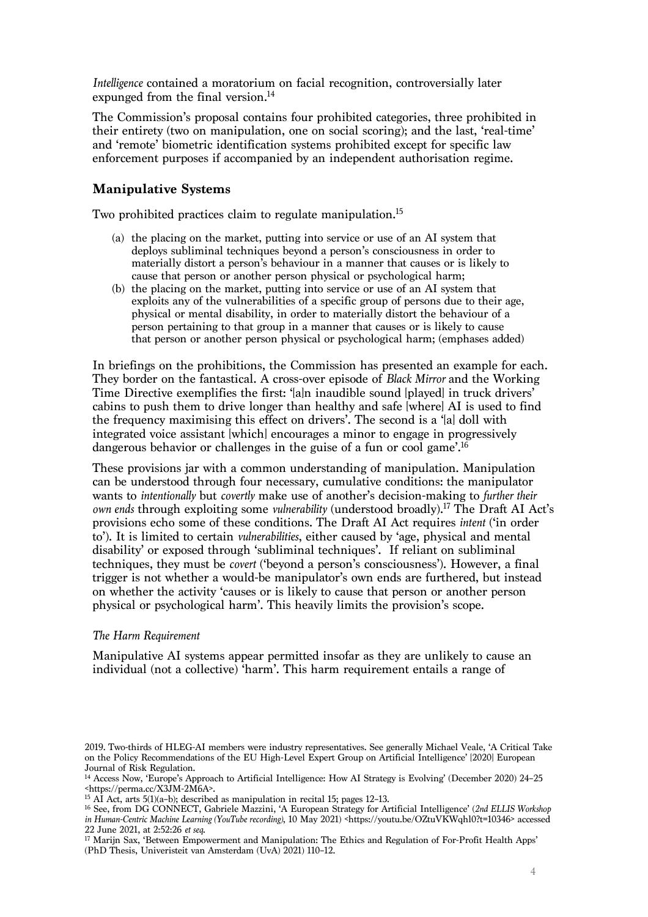*Intelligence* contained a moratorium on facial recognition, controversially later expunged from the final version. 14

The Commission's proposal contains four prohibited categories, three prohibited in their entirety (two on manipulation, one on social scoring); and the last, 'real-time' and 'remote' biometric identification systems prohibited except for specific law enforcement purposes if accompanied by an independent authorisation regime.

# **Manipulative Systems**

Two prohibited practices claim to regulate manipulation.<sup>15</sup>

- (a) the placing on the market, putting into service or use of an AI system that deploys subliminal techniques beyond a person's consciousness in order to materially distort a person's behaviour in a manner that causes or is likely to cause that person or another person physical or psychological harm;
- (b) the placing on the market, putting into service or use of an AI system that exploits any of the vulnerabilities of a specific group of persons due to their age, physical or mental disability, in order to materially distort the behaviour of a person pertaining to that group in a manner that causes or is likely to cause that person or another person physical or psychological harm; (emphases added)

In briefings on the prohibitions, the Commission has presented an example for each. They border on the fantastical. A cross-over episode of *Black Mirror* and the Working Time Directive exemplifies the first: '[a]n inaudible sound [played] in truck drivers' cabins to push them to drive longer than healthy and safe [where] AI is used to find the frequency maximising this effect on drivers'. The second is a '[a] doll with integrated voice assistant [which] encourages a minor to engage in progressively dangerous behavior or challenges in the guise of a fun or cool game<sup>''</sup>.<sup>16</sup>

These provisions jar with a common understanding of manipulation. Manipulation can be understood through four necessary, cumulative conditions: the manipulator wants to *intentionally* but *covertly* make use of another's decision-making to *further their own ends* through exploiting some *vulnerability* (understood broadly).17 The Draft AI Act's provisions echo some of these conditions. The Draft AI Act requires *intent* ('in order to'). It is limited to certain *vulnerabilities*, either caused by 'age, physical and mental disability' or exposed through 'subliminal techniques'. If reliant on subliminal techniques, they must be *covert* ('beyond a person's consciousness'). However, a final trigger is not whether a would-be manipulator's own ends are furthered, but instead on whether the activity 'causes or is likely to cause that person or another person physical or psychological harm'. This heavily limits the provision's scope.

#### *The Harm Requirement*

Manipulative AI systems appear permitted insofar as they are unlikely to cause an individual (not a collective) 'harm'. This harm requirement entails a range of

<sup>16</sup> See, from DG CONNECT, Gabriele Mazzini, 'A European Strategy for Artificial Intelligence' (*2nd ELLIS Workshop in Human-Centric Machine Learning (YouTube recording)*, 10 May 2021) <https://youtu.be/OZtuVKWqhl0?t=10346> accessed 22 June 2021, at 2:52:26 *et seq*.

<sup>17</sup> Marijn Sax, 'Between Empowerment and Manipulation: The Ethics and Regulation of For-Profit Health Apps' (PhD Thesis, Univeristeit van Amsterdam (UvA) 2021) 110–12.

<sup>2019.</sup> Two-thirds of HLEG-AI members were industry representatives. See generally Michael Veale, 'A Critical Take on the Policy Recommendations of the EU High-Level Expert Group on Artificial Intelligence' [2020] European Journal of Risk Regulation.

<sup>14</sup> Access Now, 'Europe's Approach to Artificial Intelligence: How AI Strategy is Evolving' (December 2020) 24–25 <https://perma.cc/X3JM-2M6A>.

<sup>&</sup>lt;sup>15</sup> AI Act, arts 5(1)(a–b); described as manipulation in recital 15; pages 12–13.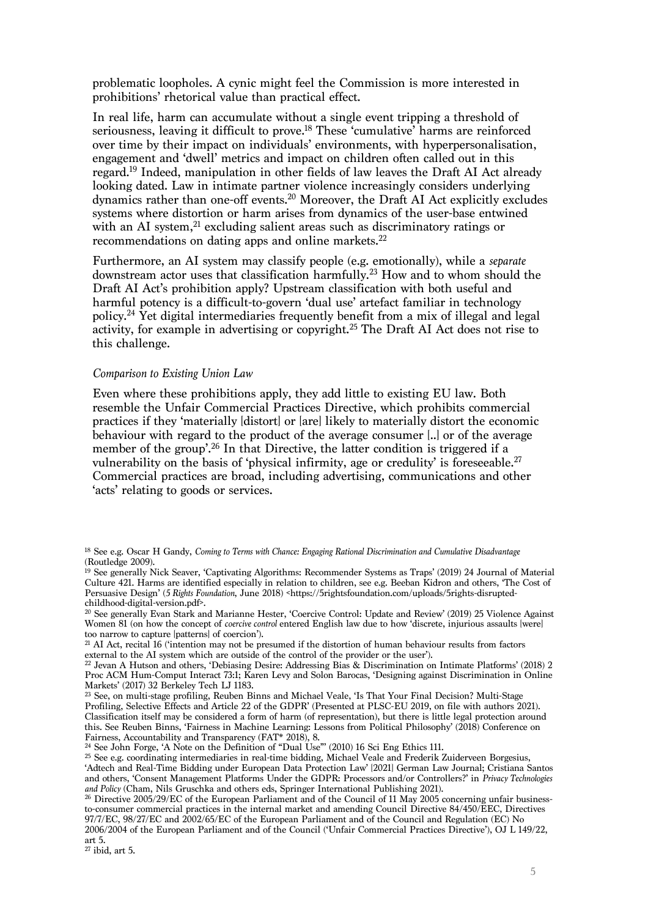problematic loopholes. A cynic might feel the Commission is more interested in prohibitions' rhetorical value than practical effect.

In real life, harm can accumulate without a single event tripping a threshold of seriousness, leaving it difficult to prove. <sup>18</sup> These 'cumulative' harms are reinforced over time by their impact on individuals' environments, with hyperpersonalisation, engagement and 'dwell' metrics and impact on children often called out in this regard.19 Indeed, manipulation in other fields of law leaves the Draft AI Act already looking dated. Law in intimate partner violence increasingly considers underlying dynamics rather than one-off events. <sup>20</sup> Moreover, the Draft AI Act explicitly excludes systems where distortion or harm arises from dynamics of the user-base entwined with an AI system, <sup>21</sup> excluding salient areas such as discriminatory ratings or recommendations on dating apps and online markets.<sup>22</sup>

Furthermore, an AI system may classify people (e.g. emotionally), while a *separate* downstream actor uses that classification harmfully. <sup>23</sup> How and to whom should the Draft AI Act's prohibition apply? Upstream classification with both useful and harmful potency is a difficult-to-govern 'dual use' artefact familiar in technology policy. <sup>24</sup> Yet digital intermediaries frequently benefit from a mix of illegal and legal activity, for example in advertising or copyright. <sup>25</sup> The Draft AI Act does not rise to this challenge.

#### *Comparison to Existing Union Law*

Even where these prohibitions apply, they add little to existing EU law. Both resemble the Unfair Commercial Practices Directive, which prohibits commercial practices if they 'materially [distort] or [are] likely to materially distort the economic behaviour with regard to the product of the average consumer [..] or of the average member of the group'. <sup>26</sup> In that Directive, the latter condition is triggered if a vulnerability on the basis of 'physical infirmity, age or credulity' is foreseeable. 27 Commercial practices are broad, including advertising, communications and other 'acts' relating to goods or services.

<sup>21</sup> AI Act, recital 16 ('intention may not be presumed if the distortion of human behaviour results from factors external to the AI system which are outside of the control of the provider or the user').

<sup>24</sup> See John Forge, 'A Note on the Definition of "Dual Use"' (2010) 16 Sci Eng Ethics 111.

<sup>18</sup> See e.g. Oscar H Gandy, *Coming to Terms with Chance: Engaging Rational Discrimination and Cumulative Disadvantage* (Routledge 2009).

<sup>&</sup>lt;sup>19</sup> See generally Nick Seaver, 'Captivating Algorithms: Recommender Systems as Traps' (2019) 24 Journal of Material Culture 421. Harms are identified especially in relation to children, see e.g. Beeban Kidron and others, 'The Cost of Persuasive Design' (*5 Rights Foundation*, June 2018) <https://5rightsfoundation.com/uploads/5rights-disruptedchildhood-digital-version.pdf>.

<sup>&</sup>lt;sup>20</sup> See generally Evan Stark and Marianne Hester, 'Coercive Control: Update and Review' (2019) 25 Violence Against Women 81 (on how the concept of *coercive control* entered English law due to how 'discrete, injurious assaults [were] too narrow to capture [patterns] of coercion').

<sup>&</sup>lt;sup>22</sup> Jevan A Hutson and others, 'Debiasing Desire: Addressing Bias & Discrimination on Intimate Platforms' (2018) 2 Proc ACM Hum-Comput Interact 73:1; Karen Levy and Solon Barocas, 'Designing against Discrimination in Online Markets' (2017) 32 Berkeley Tech LJ 1183.

<sup>23</sup> See, on multi-stage profiling, Reuben Binns and Michael Veale, 'Is That Your Final Decision? Multi-Stage Profiling, Selective Effects and Article 22 of the GDPR' (Presented at PLSC-EU 2019, on file with authors 2021). Classification itself may be considered a form of harm (of representation), but there is little legal protection around this. See Reuben Binns, 'Fairness in Machine Learning: Lessons from Political Philosophy' (2018) Conference on Fairness, Accountability and Transparency (FAT\* 2018), 8.

<sup>25</sup> See e.g. coordinating intermediaries in real-time bidding, Michael Veale and Frederik Zuiderveen Borgesius, 'Adtech and Real-Time Bidding under European Data Protection Law' [2021] German Law Journal; Cristiana Santos and others, 'Consent Management Platforms Under the GDPR: Processors and/or Controllers?' in *Privacy Technologies and Policy* (Cham, Nils Gruschka and others eds, Springer International Publishing 2021).

<sup>&</sup>lt;sup>26</sup> Directive 2005/29/EC of the European Parliament and of the Council of 11 May 2005 concerning unfair businessto-consumer commercial practices in the internal market and amending Council Directive 84/450/EEC, Directives 97/7/EC, 98/27/EC and 2002/65/EC of the European Parliament and of the Council and Regulation (EC) No 2006/2004 of the European Parliament and of the Council ('Unfair Commercial Practices Directive'), OJ L 149/22, art 5.

 $27$  ibid, art 5.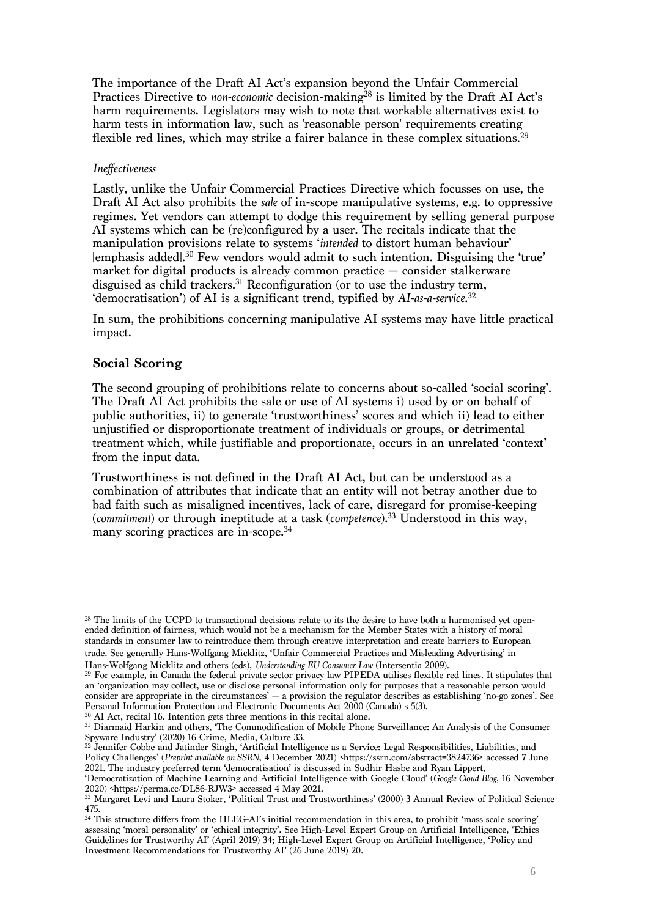The importance of the Draft AI Act's expansion beyond the Unfair Commercial Practices Directive to *non-economic* decision-making<sup>28</sup> is limited by the Draft AI Act's harm requirements. Legislators may wish to note that workable alternatives exist to harm tests in information law, such as 'reasonable person' requirements creating flexible red lines, which may strike a fairer balance in these complex situations.<sup>29</sup>

#### *Ineffectiveness*

Lastly, unlike the Unfair Commercial Practices Directive which focusses on use, the Draft AI Act also prohibits the *sale* of in-scope manipulative systems, e.g. to oppressive regimes. Yet vendors can attempt to dodge this requirement by selling general purpose AI systems which can be (re)configured by a user. The recitals indicate that the manipulation provisions relate to systems '*intended* to distort human behaviour' [emphasis added]. <sup>30</sup> Few vendors would admit to such intention. Disguising the 'true' market for digital products is already common practice — consider stalkerware disguised as child trackers. <sup>31</sup> Reconfiguration (or to use the industry term, 'democratisation') of AI is a significant trend, typified by *AI-as-a-service*. 32

In sum, the prohibitions concerning manipulative AI systems may have little practical impact.

# **Social Scoring**

The second grouping of prohibitions relate to concerns about so-called 'social scoring'. The Draft AI Act prohibits the sale or use of AI systems i) used by or on behalf of public authorities, ii) to generate 'trustworthiness' scores and which ii) lead to either unjustified or disproportionate treatment of individuals or groups, or detrimental treatment which, while justifiable and proportionate, occurs in an unrelated 'context' from the input data.

Trustworthiness is not defined in the Draft AI Act, but can be understood as a combination of attributes that indicate that an entity will not betray another due to bad faith such as misaligned incentives, lack of care, disregard for promise-keeping (*commitment*) or through ineptitude at a task (*competence*). <sup>33</sup> Understood in this way, many scoring practices are in-scope. 34

<sup>30</sup> AI Act, recital 16. Intention gets three mentions in this recital alone.

<sup>&</sup>lt;sup>28</sup> The limits of the UCPD to transactional decisions relate to its the desire to have both a harmonised yet openended definition of fairness, which would not be a mechanism for the Member States with a history of moral standards in consumer law to reintroduce them through creative interpretation and create barriers to European trade. See generally Hans-Wolfgang Micklitz, 'Unfair Commercial Practices and Misleading Advertising' in Hans-Wolfgang Micklitz and others (eds), *Understanding EU Consumer Law* (Intersentia 2009).

<sup>29</sup> For example, in Canada the federal private sector privacy law PIPEDA utilises flexible red lines. It stipulates that an 'organization may collect, use or disclose personal information only for purposes that a reasonable person would consider are appropriate in the circumstances' — a provision the regulator describes as establishing 'no-go zones'. See Personal Information Protection and Electronic Documents Act 2000 (Canada) s 5(3).

<sup>31</sup> Diarmaid Harkin and others, 'The Commodification of Mobile Phone Surveillance: An Analysis of the Consumer Spyware Industry' (2020) 16 Crime, Media, Culture 33.

<sup>&</sup>lt;sup>32</sup> Jennifer Cobbe and Jatinder Singh, 'Artificial Intelligence as a Service: Legal Responsibilities, Liabilities, and Policy Challenges' (*Preprint available on SSRN*, 4 December 2021) <https://ssrn.com/abstract=3824736> accessed 7 June 2021. The industry preferred term 'democratisation' is discussed in Sudhir Hasbe and Ryan Lippert,

<sup>&#</sup>x27;Democratization of Machine Learning and Artificial Intelligence with Google Cloud' (*Google Cloud Blog*, 16 November 2020) <https://perma.cc/DL86-RJW3> accessed 4 May 2021.

<sup>33</sup> Margaret Levi and Laura Stoker, 'Political Trust and Trustworthiness' (2000) 3 Annual Review of Political Science 475.

<sup>&</sup>lt;sup>34</sup> This structure differs from the HLEG-AI's initial recommendation in this area, to prohibit 'mass scale scoring' assessing 'moral personality' or 'ethical integrity'. See High-Level Expert Group on Artificial Intelligence, 'Ethics Guidelines for Trustworthy AI' (April 2019) 34; High-Level Expert Group on Artificial Intelligence, 'Policy and Investment Recommendations for Trustworthy AI' (26 June 2019) 20.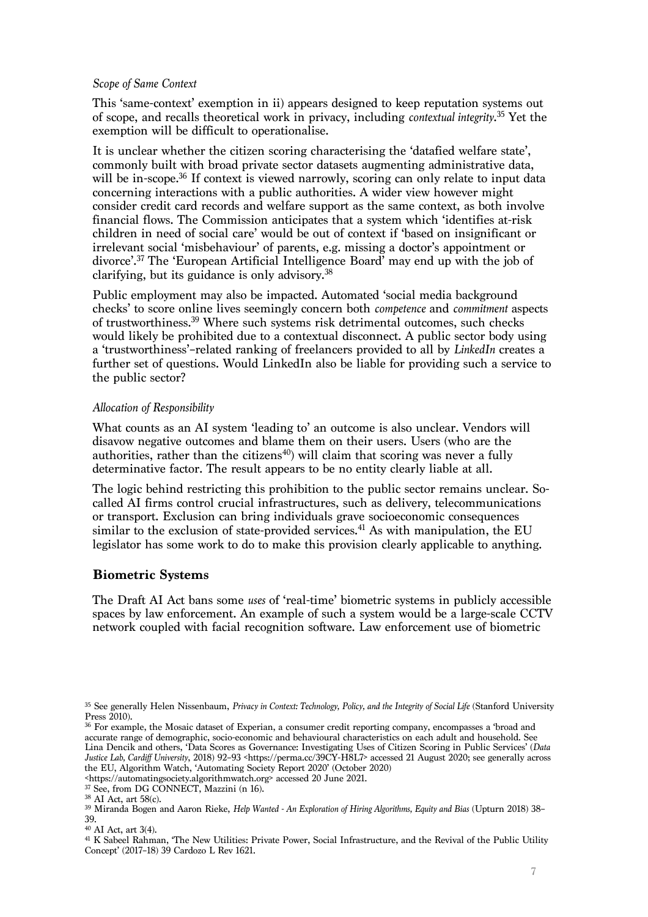#### *Scope of Same Context*

This 'same-context' exemption in ii) appears designed to keep reputation systems out of scope, and recalls theoretical work in privacy, including *contextual integrity*. <sup>35</sup> Yet the exemption will be difficult to operationalise.

It is unclear whether the citizen scoring characterising the 'datafied welfare state', commonly built with broad private sector datasets augmenting administrative data, will be in-scope. <sup>36</sup> If context is viewed narrowly, scoring can only relate to input data concerning interactions with a public authorities. A wider view however might consider credit card records and welfare support as the same context, as both involve financial flows. The Commission anticipates that a system which 'identifies at-risk children in need of social care' would be out of context if 'based on insignificant or irrelevant social 'misbehaviour' of parents, e.g. missing a doctor's appointment or divorce'.37 The 'European Artificial Intelligence Board' may end up with the job of clarifying, but its guidance is only advisory.38

Public employment may also be impacted. Automated 'social media background checks' to score online lives seemingly concern both *competence* and *commitment* aspects of trustworthiness.39 Where such systems risk detrimental outcomes, such checks would likely be prohibited due to a contextual disconnect. A public sector body using a 'trustworthiness'–related ranking of freelancers provided to all by *LinkedIn* creates a further set of questions. Would LinkedIn also be liable for providing such a service to the public sector?

## *Allocation of Responsibility*

What counts as an AI system 'leading to' an outcome is also unclear. Vendors will disavow negative outcomes and blame them on their users. Users (who are the authorities, rather than the citizens<sup>40</sup>) will claim that scoring was never a fully determinative factor. The result appears to be no entity clearly liable at all.

The logic behind restricting this prohibition to the public sector remains unclear. Socalled AI firms control crucial infrastructures, such as delivery, telecommunications or transport. Exclusion can bring individuals grave socioeconomic consequences similar to the exclusion of state-provided services. <sup>41</sup> As with manipulation, the EU legislator has some work to do to make this provision clearly applicable to anything.

# **Biometric Systems**

The Draft AI Act bans some *uses* of 'real-time' biometric systems in publicly accessible spaces by law enforcement. An example of such a system would be a large-scale CCTV network coupled with facial recognition software. Law enforcement use of biometric

<sup>38</sup> AI Act, art 58(c).

<sup>&</sup>lt;sup>35</sup> See generally Helen Nissenbaum, *Privacy in Context: Technology, Policy, and the Integrity of Social Life* (Stanford University Press 2010).

<sup>36</sup> For example, the Mosaic dataset of Experian, a consumer credit reporting company, encompasses a 'broad and accurate range of demographic, socio-economic and behavioural characteristics on each adult and household. See Lina Dencik and others, 'Data Scores as Governance: Investigating Uses of Citizen Scoring in Public Services' (*Data Justice Lab, Cardiff University*, 2018) 92–93 <https://perma.cc/39CY-H8L7> accessed 21 August 2020; see generally across the EU, Algorithm Watch, 'Automating Society Report 2020' (October 2020)

<sup>&</sup>lt;https://automatingsociety.algorithmwatch.org> accessed 20 June 2021.

<sup>&</sup>lt;sup>37</sup> See, from DG CONNECT, Mazzini (n 16).

<sup>39</sup> Miranda Bogen and Aaron Rieke, *Help Wanted - An Exploration of Hiring Algorithms, Equity and Bias* (Upturn 2018) 38– 39.

<sup>40</sup> AI Act, art 3(4).

<sup>41</sup> K Sabeel Rahman, 'The New Utilities: Private Power, Social Infrastructure, and the Revival of the Public Utility Concept' (2017–18) 39 Cardozo L Rev 1621.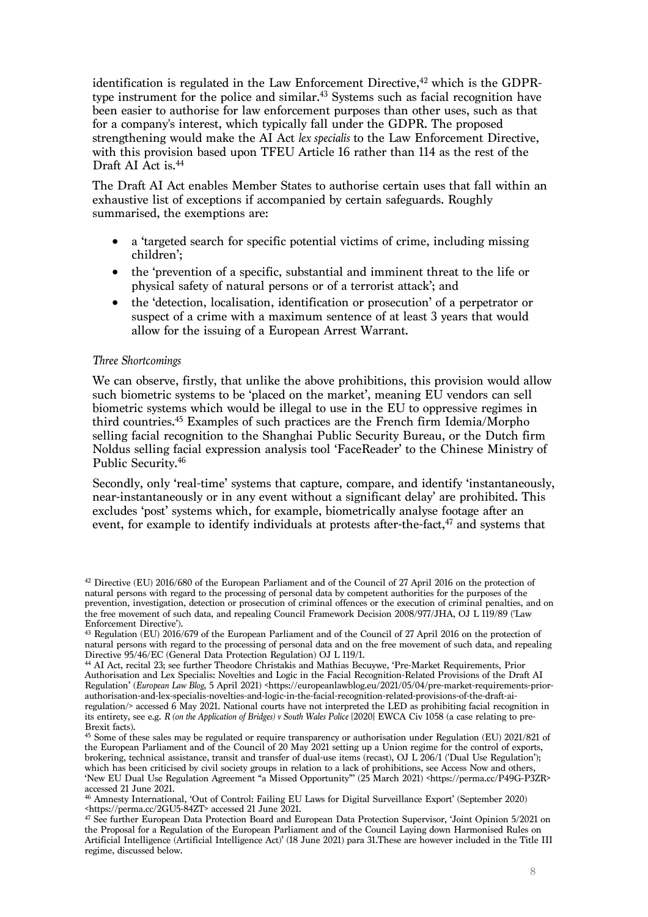identification is regulated in the Law Enforcement Directive, <sup>42</sup> which is the GDPRtype instrument for the police and similar.<sup>43</sup> Systems such as facial recognition have been easier to authorise for law enforcement purposes than other uses, such as that for a company's interest, which typically fall under the GDPR. The proposed strengthening would make the AI Act *lex specialis* to the Law Enforcement Directive, with this provision based upon TFEU Article 16 rather than 114 as the rest of the Draft AI Act is. 44

The Draft AI Act enables Member States to authorise certain uses that fall within an exhaustive list of exceptions if accompanied by certain safeguards. Roughly summarised, the exemptions are:

- a 'targeted search for specific potential victims of crime, including missing children';
- the 'prevention of a specific, substantial and imminent threat to the life or physical safety of natural persons or of a terrorist attack'; and
- the 'detection, localisation, identification or prosecution' of a perpetrator or suspect of a crime with a maximum sentence of at least 3 years that would allow for the issuing of a European Arrest Warrant.

#### *Three Shortcomings*

We can observe, firstly, that unlike the above prohibitions, this provision would allow such biometric systems to be 'placed on the market', meaning EU vendors can sell biometric systems which would be illegal to use in the EU to oppressive regimes in third countries. <sup>45</sup> Examples of such practices are the French firm Idemia/Morpho selling facial recognition to the Shanghai Public Security Bureau, or the Dutch firm Noldus selling facial expression analysis tool 'FaceReader' to the Chinese Ministry of Public Security. 46

Secondly, only 'real-time' systems that capture, compare, and identify 'instantaneously, near-instantaneously or in any event without a significant delay' are prohibited. This excludes 'post' systems which, for example, biometrically analyse footage after an event, for example to identify individuals at protests after-the-fact, <sup>47</sup> and systems that

<sup>42</sup> Directive (EU) 2016/680 of the European Parliament and of the Council of 27 April 2016 on the protection of natural persons with regard to the processing of personal data by competent authorities for the purposes of the prevention, investigation, detection or prosecution of criminal offences or the execution of criminal penalties, and on the free movement of such data, and repealing Council Framework Decision 2008/977/JHA, OJ L 119/89 ('Law Enforcement Directive').

<sup>&</sup>lt;sup>43</sup> Regulation (EU) 2016/679 of the European Parliament and of the Council of 27 April 2016 on the protection of natural persons with regard to the processing of personal data and on the free movement of such data, and repealing Directive 95/46/EC (General Data Protection Regulation) OJ L 119/1.

<sup>44</sup> AI Act, recital 23; see further Theodore Christakis and Mathias Becuywe, 'Pre-Market Requirements, Prior Authorisation and Lex Specialis: Novelties and Logic in the Facial Recognition-Related Provisions of the Draft AI Regulation' (*European Law Blog*, 5 April 2021) <https://europeanlawblog.eu/2021/05/04/pre-market-requirements-priorauthorisation-and-lex-specialis-novelties-and-logic-in-the-facial-recognition-related-provisions-of-the-draft-airegulation/> accessed 6 May 2021. National courts have not interpreted the LED as prohibiting facial recognition in its entirety, see e.g. *R (on the Application of Bridges) v South Wales Police* [2020] EWCA Civ 1058 (a case relating to pre-Brexit facts).

<sup>45</sup> Some of these sales may be regulated or require transparency or authorisation under Regulation (EU) 2021/821 of the European Parliament and of the Council of 20 May 2021 setting up a Union regime for the control of exports, brokering, technical assistance, transit and transfer of dual-use items (recast), OJ L 206/1 ('Dual Use Regulation'); which has been criticised by civil society groups in relation to a lack of prohibitions, see Access Now and others, 'New EU Dual Use Regulation Agreement "a Missed Opportunity"' (25 March 2021) <https://perma.cc/P49G-P3ZR> accessed 21 June 2021.

<sup>46</sup> Amnesty International, 'Out of Control: Failing EU Laws for Digital Surveillance Export' (September 2020) <https://perma.cc/2GU5-84ZT> accessed 21 June 2021.

<sup>47</sup> See further European Data Protection Board and European Data Protection Supervisor, 'Joint Opinion 5/2021 on the Proposal for a Regulation of the European Parliament and of the Council Laying down Harmonised Rules on Artificial Intelligence (Artificial Intelligence Act)' (18 June 2021) para 31.These are however included in the Title III regime, discussed below.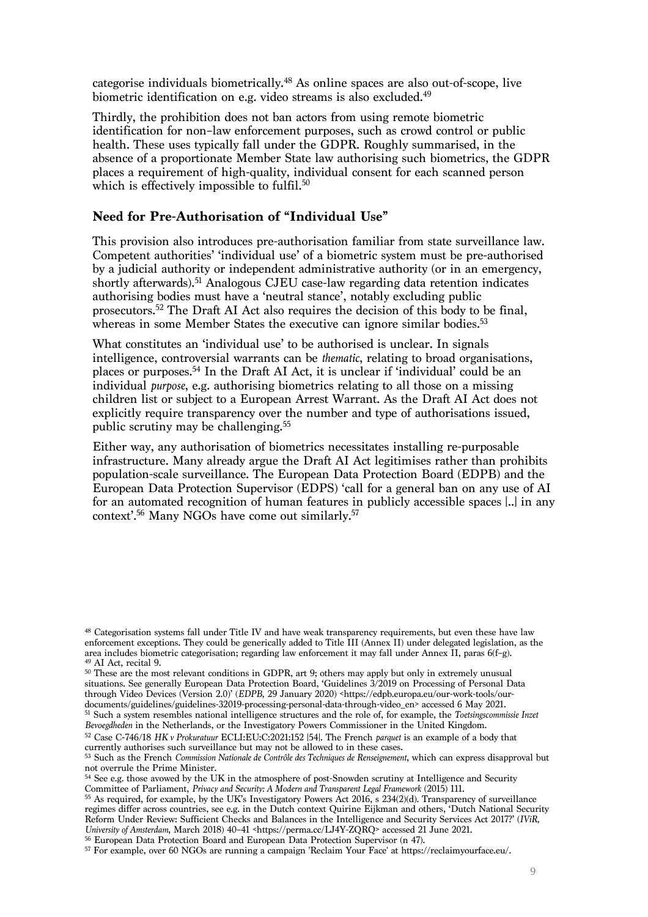categorise individuals biometrically. <sup>48</sup> As online spaces are also out-of-scope, live biometric identification on e.g. video streams is also excluded.<sup>49</sup>

Thirdly, the prohibition does not ban actors from using remote biometric identification for non–law enforcement purposes, such as crowd control or public health. These uses typically fall under the GDPR. Roughly summarised, in the absence of a proportionate Member State law authorising such biometrics, the GDPR places a requirement of high-quality, individual consent for each scanned person which is effectively impossible to fulfil. $^{50}$ 

# **Need for Pre-Authorisation of "Individual Use"**

This provision also introduces pre-authorisation familiar from state surveillance law. Competent authorities' 'individual use' of a biometric system must be pre-authorised by a judicial authority or independent administrative authority (or in an emergency, shortly afterwards). <sup>51</sup> Analogous CJEU case-law regarding data retention indicates authorising bodies must have a 'neutral stance', notably excluding public prosecutors. <sup>52</sup> The Draft AI Act also requires the decision of this body to be final, whereas in some Member States the executive can ignore similar bodies.<sup>53</sup>

What constitutes an 'individual use' to be authorised is unclear. In signals intelligence, controversial warrants can be *thematic*, relating to broad organisations, places or purposes.54 In the Draft AI Act, it is unclear if 'individual' could be an individual *purpose*, e.g. authorising biometrics relating to all those on a missing children list or subject to a European Arrest Warrant. As the Draft AI Act does not explicitly require transparency over the number and type of authorisations issued, public scrutiny may be challenging. 55

Either way, any authorisation of biometrics necessitates installing re-purposable infrastructure. Many already argue the Draft AI Act legitimises rather than prohibits population-scale surveillance. The European Data Protection Board (EDPB) and the European Data Protection Supervisor (EDPS) 'call for a general ban on any use of AI for an automated recognition of human features in publicly accessible spaces [..] in any context'. <sup>56</sup> Many NGOs have come out similarly. 57

<sup>48</sup> Categorisation systems fall under Title IV and have weak transparency requirements, but even these have law enforcement exceptions. They could be generically added to Title III (Annex II) under delegated legislation, as the area includes biometric categorisation; regarding law enforcement it may fall under Annex II, paras 6(f–g). 49 AI Act, recital 9.

<sup>&</sup>lt;sup>50</sup> These are the most relevant conditions in GDPR, art 9; others may apply but only in extremely unusual situations. See generally European Data Protection Board, 'Guidelines 3/2019 on Processing of Personal Data through Video Devices (Version 2.0)' (*EDPB*, 29 January 2020) <https://edpb.europa.eu/our-work-tools/ourdocuments/guidelines/guidelines-32019-processing-personal-data-through-video\_en> accessed 6 May 2021.

<sup>51</sup> Such a system resembles national intelligence structures and the role of, for example, the *Toetsingscommissie Inzet Bevoegdheden* in the Netherlands, or the Investigatory Powers Commissioner in the United Kingdom.

<sup>52</sup> Case C-746/18 *HK v Prokuratuur* ECLI:EU:C:2021:152 [54]. The French *parquet* is an example of a body that currently authorises such surveillance but may not be allowed to in these cases.

<sup>53</sup> Such as the French *Commission Nationale de Contrôle des Techniques de Renseignement*, which can express disapproval but not overrule the Prime Minister.

<sup>&</sup>lt;sup>54</sup> See e.g. those avowed by the UK in the atmosphere of post-Snowden scrutiny at Intelligence and Security Committee of Parliament, *Privacy and Security: A Modern and Transparent Legal Framework* (2015) 111.

 $55$  As required, for example, by the UK's Investigatory Powers Act 2016, s  $234(2)(d)$ . Transparency of surveillance regimes differ across countries, see e.g. in the Dutch context Quirine Eijkman and others, 'Dutch National Security Reform Under Review: Sufficient Checks and Balances in the Intelligence and Security Services Act 2017?' (*IViR, University of Amsterdam*, March 2018) 40–41 <https://perma.cc/LJ4Y-ZQRQ> accessed 21 June 2021.

<sup>56</sup> European Data Protection Board and European Data Protection Supervisor (n 47).

<sup>57</sup> For example, over 60 NGOs are running a campaign 'Reclaim Your Face' at https://reclaimyourface.eu/.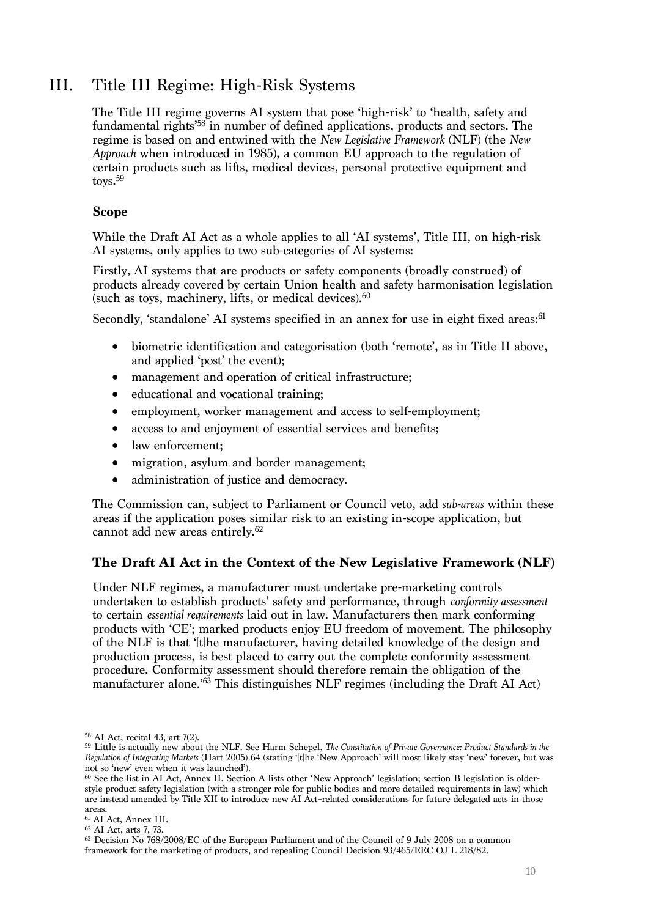# III. Title III Regime: High-Risk Systems

The Title III regime governs AI system that pose 'high-risk' to 'health, safety and fundamental rights<sup>'58</sup> in number of defined applications, products and sectors. The regime is based on and entwined with the *New Legislative Framework* (NLF) (the *New Approach* when introduced in 1985), a common EU approach to the regulation of certain products such as lifts, medical devices, personal protective equipment and toys.<sup>59</sup>

## **Scope**

While the Draft AI Act as a whole applies to all 'AI systems', Title III, on high-risk AI systems, only applies to two sub-categories of AI systems:

Firstly, AI systems that are products or safety components (broadly construed) of products already covered by certain Union health and safety harmonisation legislation (such as toys, machinery, lifts, or medical devices). 60

Secondly, 'standalone' AI systems specified in an annex for use in eight fixed areas:<sup>61</sup>

- biometric identification and categorisation (both 'remote', as in Title II above, and applied 'post' the event);
- management and operation of critical infrastructure;
- educational and vocational training;
- employment, worker management and access to self-employment;
- access to and enjoyment of essential services and benefits;
- law enforcement;
- migration, asylum and border management;
- administration of justice and democracy.

The Commission can, subject to Parliament or Council veto, add *sub-areas* within these areas if the application poses similar risk to an existing in-scope application, but cannot add new areas entirely. 62

# **The Draft AI Act in the Context of the New Legislative Framework (NLF)**

Under NLF regimes, a manufacturer must undertake pre-marketing controls undertaken to establish products' safety and performance, through *conformity assessment* to certain *essential requirements* laid out in law. Manufacturers then mark conforming products with 'CE'; marked products enjoy EU freedom of movement. The philosophy of the NLF is that '[t]he manufacturer, having detailed knowledge of the design and production process, is best placed to carry out the complete conformity assessment procedure. Conformity assessment should therefore remain the obligation of the manufacturer alone.'63 This distinguishes NLF regimes (including the Draft AI Act)

<sup>63</sup> Decision No 768/2008/EC of the European Parliament and of the Council of 9 July 2008 on a common framework for the marketing of products, and repealing Council Decision 93/465/EEC OJ L 218/82.

<sup>58</sup> AI Act, recital 43, art 7(2).

<sup>59</sup> Little is actually new about the NLF. See Harm Schepel, *The Constitution of Private Governance: Product Standards in the Regulation of Integrating Markets* (Hart 2005) 64 (stating '[t]he 'New Approach' will most likely stay 'new' forever, but was not so 'new' even when it was launched').

<sup>60</sup> See the list in AI Act, Annex II. Section A lists other 'New Approach' legislation; section B legislation is olderstyle product safety legislation (with a stronger role for public bodies and more detailed requirements in law) which are instead amended by Title XII to introduce new AI Act–related considerations for future delegated acts in those areas.

<sup>61</sup> AI Act, Annex III.

<sup>62</sup> AI Act, arts 7, 73.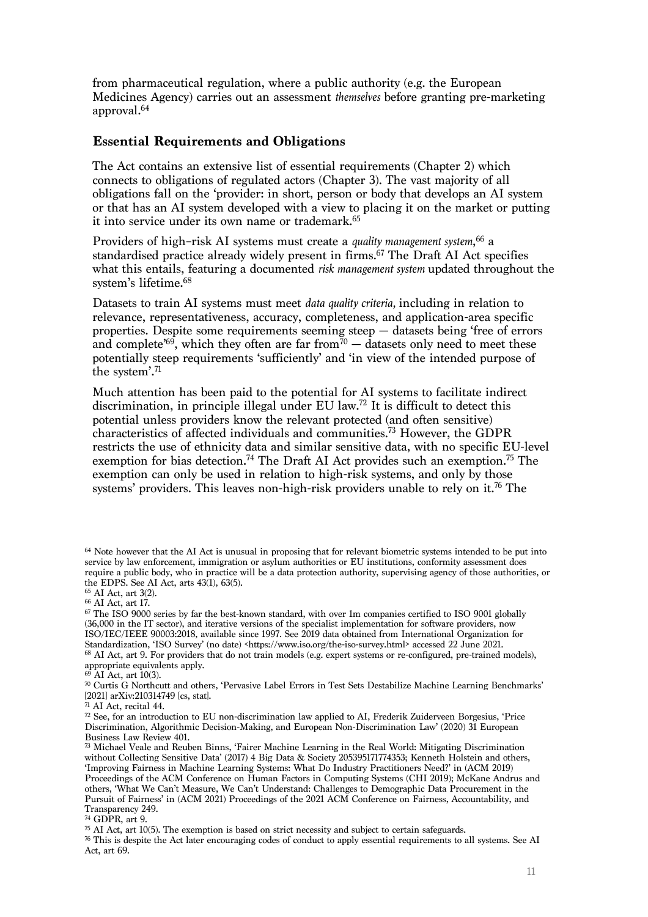from pharmaceutical regulation, where a public authority (e.g. the European Medicines Agency) carries out an assessment *themselves* before granting pre-marketing approval.64

# **Essential Requirements and Obligations**

The Act contains an extensive list of essential requirements (Chapter 2) which connects to obligations of regulated actors (Chapter 3). The vast majority of all obligations fall on the 'provider: in short, person or body that develops an AI system or that has an AI system developed with a view to placing it on the market or putting it into service under its own name or trademark.<sup>65</sup>

Providers of high–risk AI systems must create a *quality management system*, <sup>66</sup> a standardised practice already widely present in firms. <sup>67</sup> The Draft AI Act specifies what this entails, featuring a documented *risk management system* updated throughout the system's lifetime. 68

Datasets to train AI systems must meet *data quality criteria,* including in relation to relevance, representativeness, accuracy, completeness, and application-area specific properties. Despite some requirements seeming steep — datasets being 'free of errors and complete'<sup>69</sup>, which they often are far from<sup>70</sup>  $-$  datasets only need to meet these potentially steep requirements 'sufficiently' and 'in view of the intended purpose of the system'.71

Much attention has been paid to the potential for AI systems to facilitate indirect discrimination, in principle illegal under EU law.72 It is difficult to detect this potential unless providers know the relevant protected (and often sensitive) characteristics of affected individuals and communities. <sup>73</sup> However, the GDPR restricts the use of ethnicity data and similar sensitive data, with no specific EU-level exemption for bias detection.<sup>74</sup> The Draft AI Act provides such an exemption.<sup>75</sup> The exemption can only be used in relation to high-risk systems, and only by those systems' providers. This leaves non-high-risk providers unable to rely on it. <sup>76</sup> The

<sup>75</sup> AI Act, art 10(5). The exemption is based on strict necessity and subject to certain safeguards.

<sup>64</sup> Note however that the AI Act is unusual in proposing that for relevant biometric systems intended to be put into service by law enforcement, immigration or asylum authorities or EU institutions, conformity assessment does require a public body, who in practice will be a data protection authority, supervising agency of those authorities, or the EDPS. See AI Act, arts 43(1), 63(5).<br><sup>65</sup> AI Act, art 3(2).

<sup>&</sup>lt;sup>66</sup> AI Act, art 17.

<sup>&</sup>lt;sup>67</sup> The ISO 9000 series by far the best-known standard, with over 1m companies certified to ISO 9001 globally (36,000 in the IT sector), and iterative versions of the specialist implementation for software providers, now ISO/IEC/IEEE 90003:2018, available since 1997. See 2019 data obtained from International Organization for Standardization, 'ISO Survey' (no date) <https://www.iso.org/the-iso-survey.html> accessed 22 June 2021. <sup>68</sup> AI Act, art 9. For providers that do not train models (e.g. expert systems or re-configured, pre-trained models), appropriate equivalents apply.

 $69$  AI Act, art 10(3).

 $\frac{1}{20}$  Curtis G Northcutt and others, 'Pervasive Label Errors in Test Sets Destabilize Machine Learning Benchmarks' [2021] arXiv:210314749 [cs, stat].

<sup>71</sup> AI Act, recital 44.

<sup>72</sup> See, for an introduction to EU non-discrimination law applied to AI, Frederik Zuiderveen Borgesius, 'Price Discrimination, Algorithmic Decision-Making, and European Non-Discrimination Law' (2020) 31 European Business Law Review 401.

<sup>&</sup>lt;sup>73</sup> Michael Veale and Reuben Binns, 'Fairer Machine Learning in the Real World: Mitigating Discrimination without Collecting Sensitive Data' (2017) 4 Big Data & Society 205395171774353; Kenneth Holstein and others, 'Improving Fairness in Machine Learning Systems: What Do Industry Practitioners Need?' in (ACM 2019) Proceedings of the ACM Conference on Human Factors in Computing Systems (CHI 2019); McKane Andrus and others, 'What We Can't Measure, We Can't Understand: Challenges to Demographic Data Procurement in the Pursuit of Fairness' in (ACM 2021) Proceedings of the 2021 ACM Conference on Fairness, Accountability, and Transparency 249.

<sup>74</sup> GDPR, art 9.

<sup>76</sup> This is despite the Act later encouraging codes of conduct to apply essential requirements to all systems. See AI Act, art 69.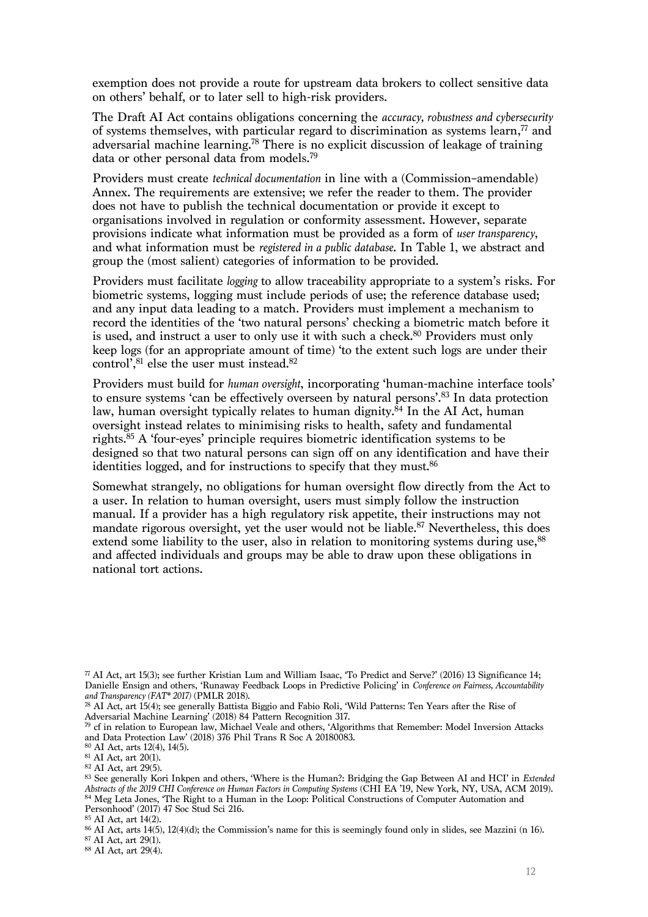exemption does not provide a route for upstream data brokers to collect sensitive data on others' behalf, or to later sell to high-risk providers.

The Draft AI Act contains obligations concerning the *accuracy, robustness and cybersecurity* of systems themselves, with particular regard to discrimination as systems learn,  $\frac{7}{7}$  and adversarial machine learning.78 There is no explicit discussion of leakage of training data or other personal data from models.79

Providers must create *technical documentation* in line with a (Commission–amendable) Annex. The requirements are extensive; we refer the reader to them. The provider does not have to publish the technical documentation or provide it except to organisations involved in regulation or conformity assessment. However, separate provisions indicate what information must be provided as a form of *user transparency*, and what information must be *registered in a public database*. In Table 1, we abstract and group the (most salient) categories of information to be provided.

Providers must facilitate *logging* to allow traceability appropriate to a system's risks. For biometric systems, logging must include periods of use; the reference database used; and any input data leading to a match. Providers must implement a mechanism to record the identities of the 'two natural persons' checking a biometric match before it is used, and instruct a user to only use it with such a check.<sup>80</sup> Providers must only keep logs (for an appropriate amount of time) 'to the extent such logs are under their control', $^{81}$  else the user must instead. $^{82}$ 

Providers must build for *human oversight*, incorporating 'human-machine interface tools' to ensure systems 'can be effectively overseen by natural persons'. <sup>83</sup> In data protection law, human oversight typically relates to human dignity.<sup>84</sup> In the AI Act, human oversight instead relates to minimising risks to health, safety and fundamental rights.85 A 'four-eyes' principle requires biometric identification systems to be designed so that two natural persons can sign off on any identification and have their identities logged, and for instructions to specify that they must.<sup>86</sup>

Somewhat strangely, no obligations for human oversight flow directly from the Act to a user. In relation to human oversight, users must simply follow the instruction manual. If a provider has a high regulatory risk appetite, their instructions may not mandate rigorous oversight, yet the user would not be liable. <sup>87</sup> Nevertheless, this does extend some liability to the user, also in relation to monitoring systems during use,<sup>88</sup> and affected individuals and groups may be able to draw upon these obligations in national tort actions.

<sup>88</sup> AI Act, art 29(4).

 $\pi$  AI Act, art 15(3); see further Kristian Lum and William Isaac, 'To Predict and Serve?' (2016) 13 Significance 14; Danielle Ensign and others, 'Runaway Feedback Loops in Predictive Policing' in *Conference on Fairness, Accountability and Transparency (FAT\* 2017)* (PMLR 2018).

<sup>78</sup> AI Act, art 15(4); see generally Battista Biggio and Fabio Roli, 'Wild Patterns: Ten Years after the Rise of Adversarial Machine Learning' (2018) 84 Pattern Recognition 317.

<sup>79</sup> cf in relation to European law, Michael Veale and others, 'Algorithms that Remember: Model Inversion Attacks and Data Protection Law' (2018) 376 Phil Trans R Soc A 20180083.

<sup>80</sup> AI Act, arts 12(4), 14(5).

<sup>81</sup> AI Act, art 20(1).

<sup>82</sup> AI Act, art 29(5).

<sup>83</sup> See generally Kori Inkpen and others, 'Where is the Human?: Bridging the Gap Between AI and HCI' in *Extended Abstracts of the 2019 CHI Conference on Human Factors in Computing Systems* (CHI EA '19, New York, NY, USA, ACM 2019). 84 Meg Leta Jones, 'The Right to a Human in the Loop: Political Constructions of Computer Automation and Personhood' (2017) 47 Soc Stud Sci 216.

<sup>85</sup> AI Act, art 14(2).

<sup>86</sup> AI Act, arts 14(5), 12(4)(d); the Commission's name for this is seemingly found only in slides, see Mazzini (n 16). <sup>87</sup> AI Act, art 29(1).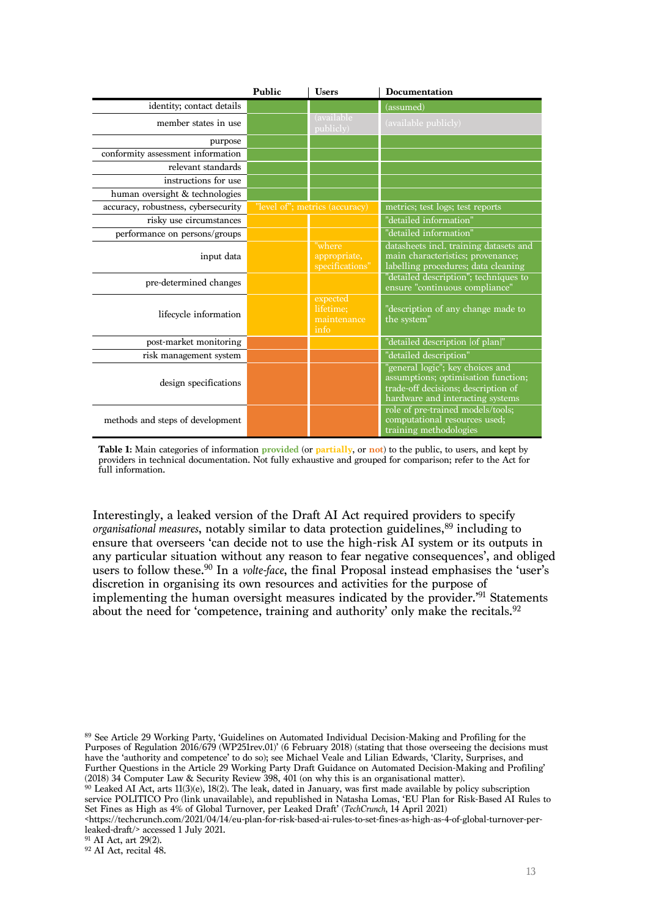|                                     | Public                         | <b>Users</b>                                 | <b>Documentation</b>                                                                                                                               |
|-------------------------------------|--------------------------------|----------------------------------------------|----------------------------------------------------------------------------------------------------------------------------------------------------|
| identity; contact details           |                                |                                              | (assumed)                                                                                                                                          |
| member states in use                |                                | (available)<br>publicly)                     | (available publicly)                                                                                                                               |
| purpose                             |                                |                                              |                                                                                                                                                    |
| conformity assessment information   |                                |                                              |                                                                                                                                                    |
| relevant standards                  |                                |                                              |                                                                                                                                                    |
| instructions for use                |                                |                                              |                                                                                                                                                    |
| human oversight & technologies      |                                |                                              |                                                                                                                                                    |
| accuracy, robustness, cybersecurity | "level of"; metrics (accuracy) |                                              | metrics; test logs; test reports                                                                                                                   |
| risky use circumstances             |                                |                                              | "detailed information"                                                                                                                             |
| performance on persons/groups       |                                |                                              | "detailed information"                                                                                                                             |
| input data                          |                                | "where<br>appropriate,<br>specifications"    | datasheets incl. training datasets and<br>main characteristics; provenance;<br>labelling procedures; data cleaning                                 |
| pre-determined changes              |                                |                                              | "detailed description"; techniques to<br>ensure "continuous compliance"                                                                            |
| lifecycle information               |                                | expected<br>lifetime:<br>maintenance<br>info | "description of any change made to<br>the system"                                                                                                  |
| post-market monitoring              |                                |                                              | "detailed description [of plan]"                                                                                                                   |
| risk management system              |                                |                                              | "detailed description"                                                                                                                             |
| design specifications               |                                |                                              | "general logic"; key choices and<br>assumptions; optimisation function;<br>trade-off decisions; description of<br>hardware and interacting systems |
| methods and steps of development    |                                |                                              | role of pre-trained models/tools;<br>computational resources used;<br>training methodologies                                                       |

**Table 1:** Main categories of information **provided** (or **partially**, or **not**) to the public, to users, and kept by providers in technical documentation. Not fully exhaustive and grouped for comparison; refer to the Act for full information.

Interestingly, a leaked version of the Draft AI Act required providers to specify *organisational measures*, notably similar to data protection guidelines,<sup>89</sup> including to ensure that overseers 'can decide not to use the high-risk AI system or its outputs in any particular situation without any reason to fear negative consequences', and obliged users to follow these.90 In a *volte-face*, the final Proposal instead emphasises the 'user's discretion in organising its own resources and activities for the purpose of implementing the human oversight measures indicated by the provider.' <sup>91</sup> Statements about the need for 'competence, training and authority' only make the recitals. 92

<sup>89</sup> See Article 29 Working Party, 'Guidelines on Automated Individual Decision-Making and Profiling for the Purposes of Regulation 2016/679 (WP251rev.01)' (6 February 2018) (stating that those overseeing the decisions must have the 'authority and competence' to do so); see Michael Veale and Lilian Edwards, 'Clarity, Surprises, and Further Questions in the Article 29 Working Party Draft Guidance on Automated Decision-Making and Profiling' (2018) 34 Computer Law & Security Review 398, 401 (on why this is an organisational matter).

 $90$  Leaked AI Act, arts 11(3)(e), 18(2). The leak, dated in January, was first made available by policy subscription service POLITICO Pro (link unavailable), and republished in Natasha Lomas, 'EU Plan for Risk-Based AI Rules to Set Fines as High as 4% of Global Turnover, per Leaked Draft' (*TechCrunch*, 14 April 2021)

<https://techcrunch.com/2021/04/14/eu-plan-for-risk-based-ai-rules-to-set-fines-as-high-as-4-of-global-turnover-perleaked-draft/> accessed 1 July 2021.

<sup>91</sup> AI Act, art 29(2).

 $92$  AI Act, recital 48.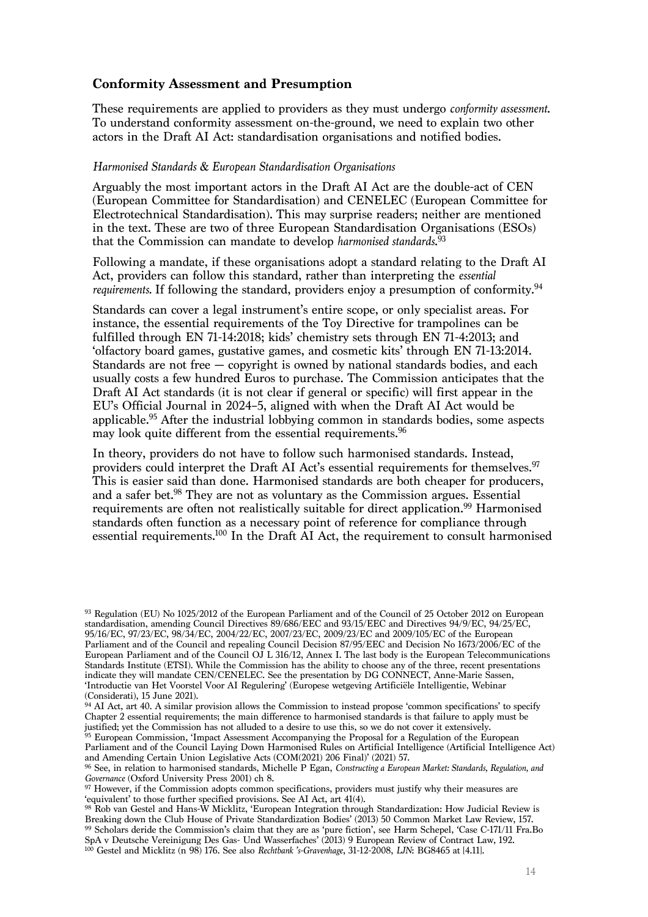## **Conformity Assessment and Presumption**

These requirements are applied to providers as they must undergo *conformity assessment*. To understand conformity assessment on-the-ground, we need to explain two other actors in the Draft AI Act: standardisation organisations and notified bodies.

#### *Harmonised Standards & European Standardisation Organisations*

Arguably the most important actors in the Draft AI Act are the double-act of CEN (European Committee for Standardisation) and CENELEC (European Committee for Electrotechnical Standardisation). This may surprise readers; neither are mentioned in the text. These are two of three European Standardisation Organisations (ESOs) that the Commission can mandate to develop *harmonised standards*. 93

Following a mandate, if these organisations adopt a standard relating to the Draft AI Act, providers can follow this standard, rather than interpreting the *essential requirements.* If following the standard, providers enjoy a presumption of conformity.<sup>94</sup>

Standards can cover a legal instrument's entire scope, or only specialist areas. For instance, the essential requirements of the Toy Directive for trampolines can be fulfilled through EN 71-14:2018; kids' chemistry sets through EN 71-4:2013; and 'olfactory board games, gustative games, and cosmetic kits' through EN 71-13:2014. Standards are not free — copyright is owned by national standards bodies, and each usually costs a few hundred Euros to purchase. The Commission anticipates that the Draft AI Act standards (it is not clear if general or specific) will first appear in the EU's Official Journal in 2024–5, aligned with when the Draft AI Act would be applicable.95 After the industrial lobbying common in standards bodies, some aspects may look quite different from the essential requirements. 96

In theory, providers do not have to follow such harmonised standards. Instead, providers could interpret the Draft AI Act's essential requirements for themselves.<sup>97</sup> This is easier said than done. Harmonised standards are both cheaper for producers, and a safer bet. <sup>98</sup> They are not as voluntary as the Commission argues. Essential requirements are often not realistically suitable for direct application.<sup>99</sup> Harmonised standards often function as a necessary point of reference for compliance through essential requirements.100 In the Draft AI Act, the requirement to consult harmonised

<sup>93</sup> Regulation (EU) No 1025/2012 of the European Parliament and of the Council of 25 October 2012 on European standardisation, amending Council Directives 89/686/EEC and 93/15/EEC and Directives 94/9/EC, 94/25/EC, 95/16/EC, 97/23/EC, 98/34/EC, 2004/22/EC, 2007/23/EC, 2009/23/EC and 2009/105/EC of the European Parliament and of the Council and repealing Council Decision 87/95/EEC and Decision No 1673/2006/EC of the European Parliament and of the Council OJ L 316/12, Annex I. The last body is the European Telecommunications Standards Institute (ETSI). While the Commission has the ability to choose any of the three, recent presentations indicate they will mandate CEN/CENELEC. See the presentation by DG CONNECT, Anne-Marie Sassen, 'Introductie van Het Voorstel Voor AI Regulering' (Europese wetgeving Artificiële Intelligentie, Webinar (Considerati), 15 June 2021).

<sup>94</sup> AI Act, art 40. A similar provision allows the Commission to instead propose 'common specifications' to specify Chapter 2 essential requirements; the main difference to harmonised standards is that failure to apply must be justified; yet the Commission has not alluded to a desire to use this, so we do not cover it extensively. <sup>95</sup> European Commission, 'Impact Assessment Accompanying the Proposal for a Regulation of the European

Parliament and of the Council Laying Down Harmonised Rules on Artificial Intelligence (Artificial Intelligence Act) and Amending Certain Union Legislative Acts (COM(2021) 206 Final)' (2021) 57.

<sup>100</sup> Gestel and Micklitz (n 98) 176. See also *Rechtbank 's-Gravenhage*, 31-12-2008, *LJN*: BG8465 at [4.11].

<sup>96</sup> See, in relation to harmonised standards, Michelle P Egan, *Constructing a European Market: Standards, Regulation, and Governance* (Oxford University Press 2001) ch 8.

<sup>&</sup>lt;sup>97</sup> However, if the Commission adopts common specifications, providers must justify why their measures are 'equivalent' to those further specified provisions. See AI Act, art 41(4).

<sup>98</sup> Rob van Gestel and Hans-W Micklitz, 'European Integration through Standardization: How Judicial Review is Breaking down the Club House of Private Standardization Bodies' (2013) 50 Common Market Law Review, 157. 99 Scholars deride the Commission's claim that they are as 'pure fiction', see Harm Schepel, 'Case C-171/11 Fra.Bo SpA v Deutsche Vereinigung Des Gas- Und Wasserfaches' (2013) 9 European Review of Contract Law, 192.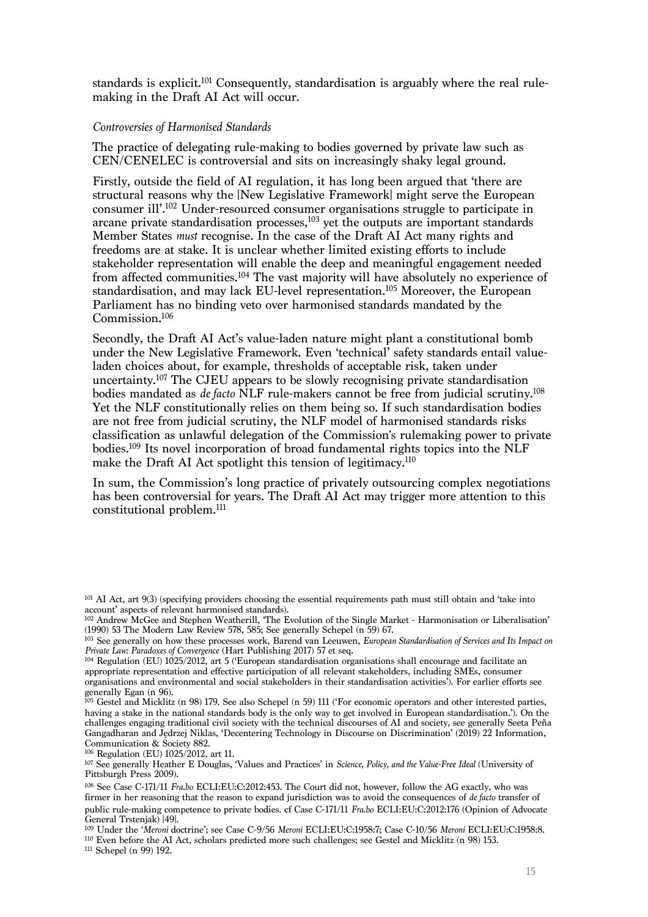standards is explicit.<sup>101</sup> Consequently, standardisation is arguably where the real rulemaking in the Draft AI Act will occur.

#### *Controversies of Harmonised Standards*

The practice of delegating rule-making to bodies governed by private law such as CEN/CENELEC is controversial and sits on increasingly shaky legal ground.

Firstly, outside the field of AI regulation, it has long been argued that 'there are structural reasons why the [New Legislative Framework] might serve the European consumer ill'.102 Under-resourced consumer organisations struggle to participate in arcane private standardisation processes, <sup>103</sup> yet the outputs are important standards Member States *must* recognise. In the case of the Draft AI Act many rights and freedoms are at stake. It is unclear whether limited existing efforts to include stakeholder representation will enable the deep and meaningful engagement needed from affected communities.104 The vast majority will have absolutely no experience of standardisation, and may lack EU-level representation. <sup>105</sup> Moreover, the European Parliament has no binding veto over harmonised standards mandated by the Commission. 106

Secondly, the Draft AI Act's value-laden nature might plant a constitutional bomb under the New Legislative Framework. Even 'technical' safety standards entail valueladen choices about, for example, thresholds of acceptable risk, taken under uncertainty. <sup>107</sup> The CJEU appears to be slowly recognising private standardisation bodies mandated as *de facto* NLF rule-makers cannot be free from judicial scrutiny. 108 Yet the NLF constitutionally relies on them being so. If such standardisation bodies are not free from judicial scrutiny, the NLF model of harmonised standards risks classification as unlawful delegation of the Commission's rulemaking power to private bodies. <sup>109</sup> Its novel incorporation of broad fundamental rights topics into the NLF make the Draft AI Act spotlight this tension of legitimacy.<sup>110</sup>

In sum, the Commission's long practice of privately outsourcing complex negotiations has been controversial for years. The Draft AI Act may trigger more attention to this constitutional problem.111

<sup>111</sup> Schepel (n 99) 192.

<sup>101</sup> AI Act, art 9(3) (specifying providers choosing the essential requirements path must still obtain and 'take into account' aspects of relevant harmonised standards).

<sup>102</sup> Andrew McGee and Stephen Weatherill, 'The Evolution of the Single Market - Harmonisation or Liberalisation' (1990) 53 The Modern Law Review 578, 585; See generally Schepel (n 59) 67.

<sup>&</sup>lt;sup>103</sup> See generally on how these processes work, Barend van Leeuwen, *European Standardisation of Services and Its Impact on Private Law: Paradoxes of Convergence* (Hart Publishing 2017) 57 et seq.

<sup>104</sup> Regulation (EU) 1025/2012, art 5 ('European standardisation organisations shall encourage and facilitate an appropriate representation and effective participation of all relevant stakeholders, including SMEs, consumer organisations and environmental and social stakeholders in their standardisation activities'). For earlier efforts see generally Egan (n 96).

<sup>105</sup> Gestel and Micklitz (n 98) 179. See also Schepel (n 59) 111 ('For economic operators and other interested parties, having a stake in the national standards body is the only way to get involved in European standardisation.'). On the challenges engaging traditional civil society with the technical discourses of AI and society, see generally Seeta Peña Gangadharan and Jędrzej Niklas, 'Decentering Technology in Discourse on Discrimination' (2019) 22 Information, Communication & Society 882.

<sup>106</sup> Regulation (EU) 1025/2012, art 11.

<sup>107</sup> See generally Heather E Douglas, 'Values and Practices' in *Science, Policy, and the Value-Free Ideal* (University of Pittsburgh Press 2009).

<sup>108</sup> See Case C-171/11 *Fra.bo* ECLI:EU:C:2012:453. The Court did not, however, follow the AG exactly, who was firmer in her reasoning that the reason to expand jurisdiction was to avoid the consequences of *de facto* transfer of public rule-making competence to private bodies. cf Case C-171/11 *Fra.bo* ECLI:EU:C:2012:176 (Opinion of Advocate General Trstenjak) [49].

<sup>109</sup> Under the '*Meroni* doctrine'; see Case C-9/56 *Meroni* ECLI:EU:C:1958:7; Case C-10/56 *Meroni* ECLI:EU:C:1958:8. <sup>110</sup> Even before the AI Act, scholars predicted more such challenges; see Gestel and Micklitz (n 98) 153.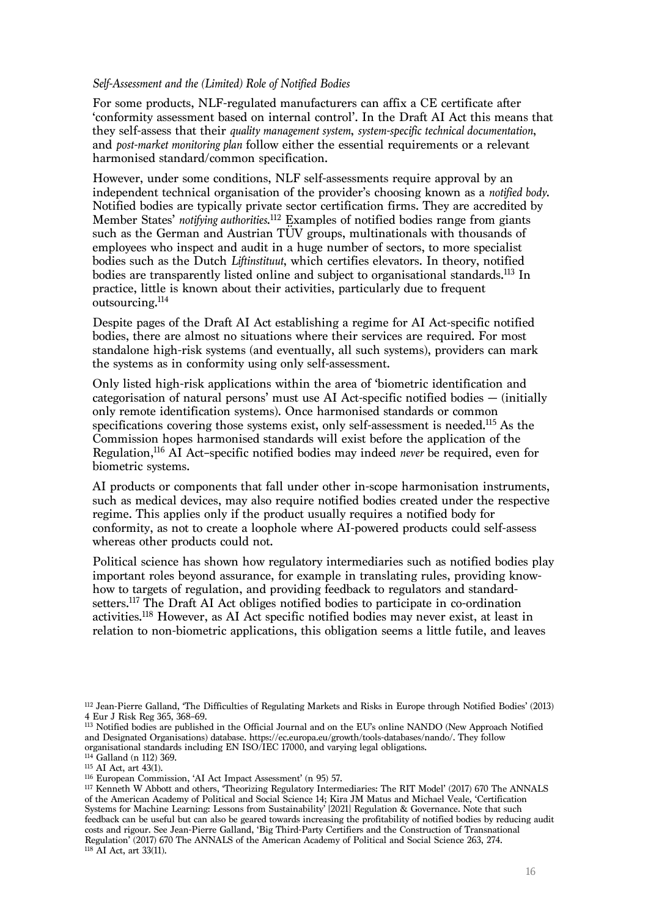#### *Self-Assessment and the (Limited) Role of Notified Bodies*

For some products, NLF-regulated manufacturers can affix a CE certificate after 'conformity assessment based on internal control'. In the Draft AI Act this means that they self-assess that their *quality management system*, *system-specific technical documentation*, and *post-market monitoring plan* follow either the essential requirements or a relevant harmonised standard/common specification.

However, under some conditions, NLF self-assessments require approval by an independent technical organisation of the provider's choosing known as a *notified body*. Notified bodies are typically private sector certification firms. They are accredited by Member States' *notifying authorities*. <sup>112</sup> Examples of notified bodies range from giants such as the German and Austrian TÜV groups, multinationals with thousands of employees who inspect and audit in a huge number of sectors, to more specialist bodies such as the Dutch *Liftinstituut*, which certifies elevators. In theory, notified bodies are transparently listed online and subject to organisational standards.<sup>113</sup> In practice, little is known about their activities, particularly due to frequent outsourcing.114

Despite pages of the Draft AI Act establishing a regime for AI Act-specific notified bodies, there are almost no situations where their services are required. For most standalone high-risk systems (and eventually, all such systems), providers can mark the systems as in conformity using only self-assessment.

Only listed high-risk applications within the area of 'biometric identification and categorisation of natural persons' must use AI Act-specific notified bodies — (initially only remote identification systems). Once harmonised standards or common specifications covering those systems exist, only self-assessment is needed. <sup>115</sup> As the Commission hopes harmonised standards will exist before the application of the Regulation,116 AI Act–specific notified bodies may indeed *never* be required, even for biometric systems.

AI products or components that fall under other in-scope harmonisation instruments, such as medical devices, may also require notified bodies created under the respective regime. This applies only if the product usually requires a notified body for conformity, as not to create a loophole where AI-powered products could self-assess whereas other products could not.

Political science has shown how regulatory intermediaries such as notified bodies play important roles beyond assurance, for example in translating rules, providing knowhow to targets of regulation, and providing feedback to regulators and standardsetters. <sup>117</sup> The Draft AI Act obliges notified bodies to participate in co-ordination activities. <sup>118</sup> However, as AI Act specific notified bodies may never exist, at least in relation to non-biometric applications, this obligation seems a little futile, and leaves

<sup>112</sup> Jean-Pierre Galland, 'The Difficulties of Regulating Markets and Risks in Europe through Notified Bodies' (2013) 4 Eur J Risk Reg 365, 368–69.

<sup>113</sup> Notified bodies are published in the Official Journal and on the EU's online NANDO (New Approach Notified and Designated Organisations) database. https://ec.europa.eu/growth/tools-databases/nando/. They follow organisational standards including EN ISO/IEC 17000, and varying legal obligations.

<sup>&</sup>lt;sup>114</sup> Galland (n 112) 369.

<sup>115</sup> AI Act, art 43(1).

<sup>116</sup> European Commission, 'AI Act Impact Assessment' (n 95) 57.

<sup>117</sup> Kenneth W Abbott and others, 'Theorizing Regulatory Intermediaries: The RIT Model' (2017) 670 The ANNALS of the American Academy of Political and Social Science 14; Kira JM Matus and Michael Veale, 'Certification Systems for Machine Learning: Lessons from Sustainability' [2021] Regulation & Governance. Note that such feedback can be useful but can also be geared towards increasing the profitability of notified bodies by reducing audit costs and rigour. See Jean-Pierre Galland, 'Big Third-Party Certifiers and the Construction of Transnational Regulation' (2017) 670 The ANNALS of the American Academy of Political and Social Science 263, 274. <sup>118</sup> AI Act, art 33(11).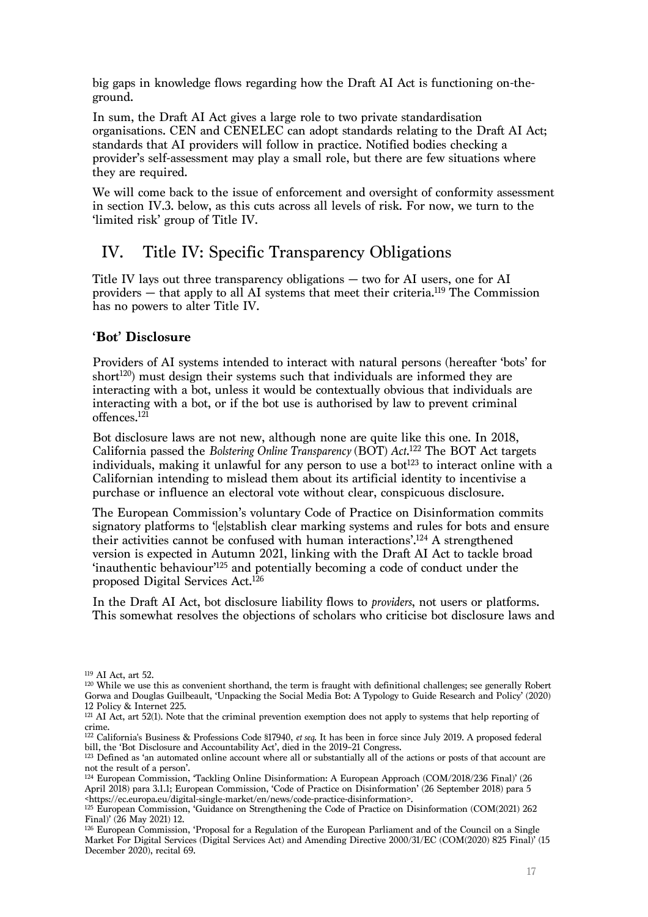big gaps in knowledge flows regarding how the Draft AI Act is functioning on-theground.

In sum, the Draft AI Act gives a large role to two private standardisation organisations. CEN and CENELEC can adopt standards relating to the Draft AI Act; standards that AI providers will follow in practice. Notified bodies checking a provider's self-assessment may play a small role, but there are few situations where they are required.

We will come back to the issue of enforcement and oversight of conformity assessment in section IV.3. below, as this cuts across all levels of risk. For now, we turn to the 'limited risk' group of Title IV.

# IV. Title IV: Specific Transparency Obligations

Title IV lays out three transparency obligations — two for AI users, one for AI providers — that apply to all AI systems that meet their criteria. <sup>119</sup> The Commission has no powers to alter Title IV.

# **'Bot' Disclosure**

Providers of AI systems intended to interact with natural persons (hereafter 'bots' for short<sup>120</sup>) must design their systems such that individuals are informed they are interacting with a bot, unless it would be contextually obvious that individuals are interacting with a bot, or if the bot use is authorised by law to prevent criminal offences.<sup>121</sup>

Bot disclosure laws are not new, although none are quite like this one. In 2018, California passed the *Bolstering Online Transparency* (BOT) *Act*. <sup>122</sup> The BOT Act targets individuals, making it unlawful for any person to use a bot<sup>123</sup> to interact online with a Californian intending to mislead them about its artificial identity to incentivise a purchase or influence an electoral vote without clear, conspicuous disclosure.

The European Commission's voluntary Code of Practice on Disinformation commits signatory platforms to '[e]stablish clear marking systems and rules for bots and ensure their activities cannot be confused with human interactions'. <sup>124</sup> A strengthened version is expected in Autumn 2021, linking with the Draft AI Act to tackle broad 'inauthentic behaviour'125 and potentially becoming a code of conduct under the proposed Digital Services Act.<sup>126</sup>

In the Draft AI Act, bot disclosure liability flows to *providers*, not users or platforms. This somewhat resolves the objections of scholars who criticise bot disclosure laws and

<sup>119</sup> AI Act, art 52.

<sup>120</sup> While we use this as convenient shorthand, the term is fraught with definitional challenges; see generally Robert Gorwa and Douglas Guilbeault, 'Unpacking the Social Media Bot: A Typology to Guide Research and Policy' (2020) 12 Policy & Internet 225.

<sup>&</sup>lt;sup>121</sup> AI Act, art 52(1). Note that the criminal prevention exemption does not apply to systems that help reporting of crime.

<sup>122</sup> California's Business & Professions Code §17940, *et seq*. It has been in force since July 2019. A proposed federal bill, the 'Bot Disclosure and Accountability Act', died in the 2019–21 Congress.

<sup>&</sup>lt;sup>123</sup> Defined as 'an automated online account where all or substantially all of the actions or posts of that account are not the result of a person'.

<sup>124</sup> European Commission, 'Tackling Online Disinformation: A European Approach (COM/2018/236 Final)' (26 April 2018) para 3.1.1; European Commission, 'Code of Practice on Disinformation' (26 September 2018) para 5 <https://ec.europa.eu/digital-single-market/en/news/code-practice-disinformation>.

<sup>&</sup>lt;sup>125</sup> European Commission, 'Guidance on Strengthening the Code of Practice on Disinformation (COM(2021) 262 Final)' (26 May 2021) 12.

<sup>&</sup>lt;sup>126</sup> European Commission, 'Proposal for a Regulation of the European Parliament and of the Council on a Single Market For Digital Services (Digital Services Act) and Amending Directive 2000/31/EC (COM(2020) 825 Final)' (15 December 2020), recital 69.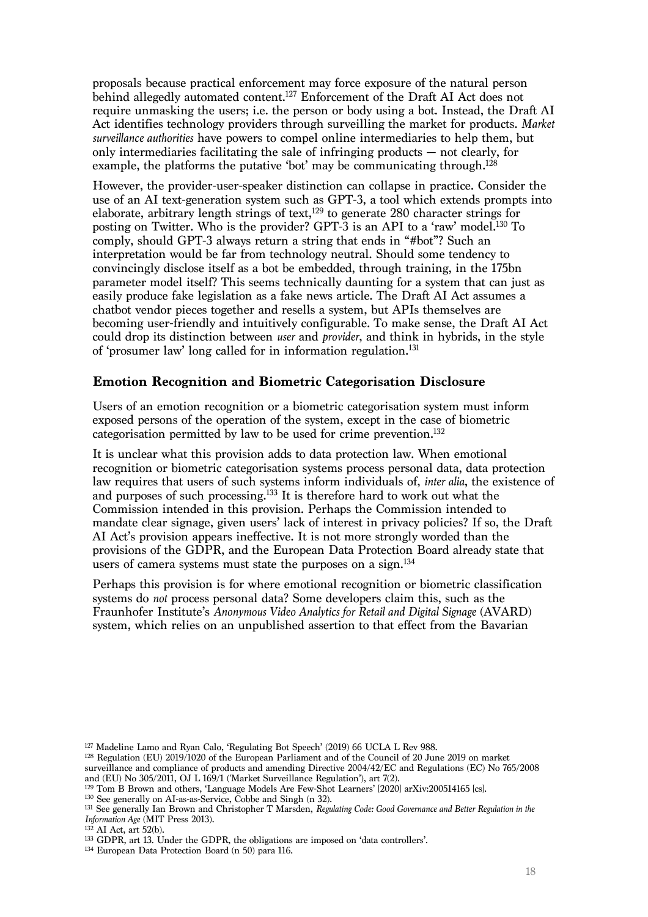proposals because practical enforcement may force exposure of the natural person behind allegedly automated content. <sup>127</sup> Enforcement of the Draft AI Act does not require unmasking the users; i.e. the person or body using a bot. Instead, the Draft AI Act identifies technology providers through surveilling the market for products. *Market surveillance authorities* have powers to compel online intermediaries to help them, but only intermediaries facilitating the sale of infringing products — not clearly, for example, the platforms the putative 'bot' may be communicating through. 128

However, the provider-user-speaker distinction can collapse in practice. Consider the use of an AI text-generation system such as GPT-3, a tool which extends prompts into elaborate, arbitrary length strings of text, <sup>129</sup> to generate 280 character strings for posting on Twitter. Who is the provider? GPT-3 is an API to a 'raw' model.<sup>130</sup> To comply, should GPT-3 always return a string that ends in "#bot"? Such an interpretation would be far from technology neutral. Should some tendency to convincingly disclose itself as a bot be embedded, through training, in the 175bn parameter model itself? This seems technically daunting for a system that can just as easily produce fake legislation as a fake news article. The Draft AI Act assumes a chatbot vendor pieces together and resells a system, but APIs themselves are becoming user-friendly and intuitively configurable. To make sense, the Draft AI Act could drop its distinction between *user* and *provider*, and think in hybrids, in the style of 'prosumer law' long called for in information regulation.<sup>131</sup>

# **Emotion Recognition and Biometric Categorisation Disclosure**

Users of an emotion recognition or a biometric categorisation system must inform exposed persons of the operation of the system, except in the case of biometric categorisation permitted by law to be used for crime prevention.132

It is unclear what this provision adds to data protection law. When emotional recognition or biometric categorisation systems process personal data, data protection law requires that users of such systems inform individuals of, *inter alia*, the existence of and purposes of such processing. <sup>133</sup> It is therefore hard to work out what the Commission intended in this provision. Perhaps the Commission intended to mandate clear signage, given users' lack of interest in privacy policies? If so, the Draft AI Act's provision appears ineffective. It is not more strongly worded than the provisions of the GDPR, and the European Data Protection Board already state that users of camera systems must state the purposes on a sign.<sup>134</sup>

Perhaps this provision is for where emotional recognition or biometric classification systems do *not* process personal data? Some developers claim this, such as the Fraunhofer Institute's *Anonymous Video Analytics for Retail and Digital Signage* (AVARD) system, which relies on an unpublished assertion to that effect from the Bavarian

- <sup>129</sup> Tom B Brown and others, 'Language Models Are Few-Shot Learners' [2020] arXiv:200514165 [cs].
- <sup>130</sup> See generally on AI-as-as-Service, Cobbe and Singh (n 32).

<sup>127</sup> Madeline Lamo and Ryan Calo, 'Regulating Bot Speech' (2019) 66 UCLA L Rev 988.

<sup>128</sup> Regulation (EU) 2019/1020 of the European Parliament and of the Council of 20 June 2019 on market surveillance and compliance of products and amending Directive 2004/42/EC and Regulations (EC) No 765/2008 and (EU) No 305/2011, OJ L 169/1 ('Market Surveillance Regulation'), art 7(2).

<sup>131</sup> See generally Ian Brown and Christopher T Marsden, *Regulating Code: Good Governance and Better Regulation in the Information Age* (MIT Press 2013).

 $132$  AI Act, art 52(b).

<sup>&</sup>lt;sup>133</sup> GDPR, art 13. Under the GDPR, the obligations are imposed on 'data controllers'. <sup>134</sup> European Data Protection Board (n 50) para 116.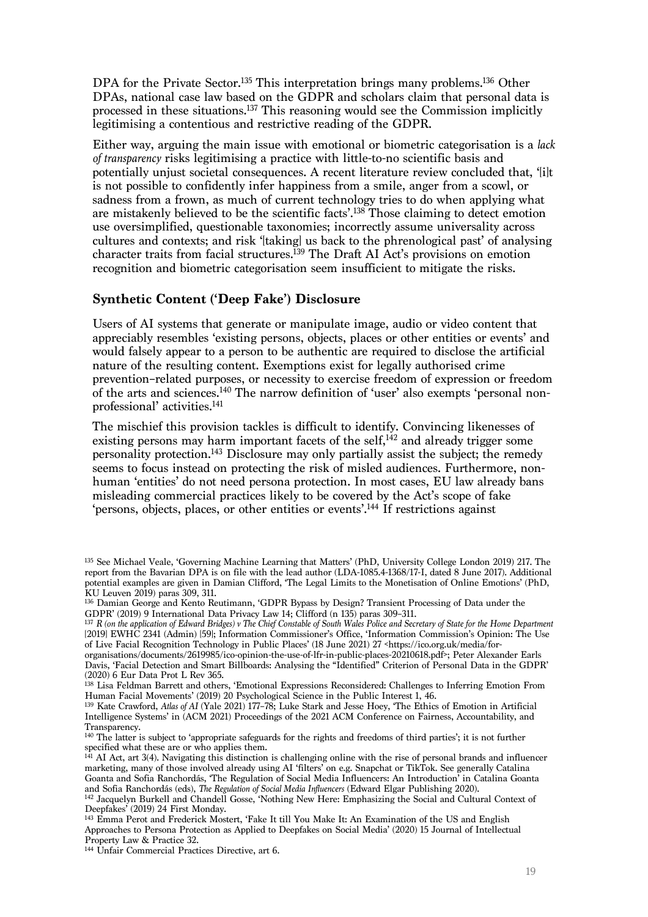DPA for the Private Sector.<sup>135</sup> This interpretation brings many problems.<sup>136</sup> Other DPAs, national case law based on the GDPR and scholars claim that personal data is processed in these situations. <sup>137</sup> This reasoning would see the Commission implicitly legitimising a contentious and restrictive reading of the GDPR.

Either way, arguing the main issue with emotional or biometric categorisation is a *lack of transparency* risks legitimising a practice with little-to-no scientific basis and potentially unjust societal consequences. A recent literature review concluded that, '[i]t is not possible to confidently infer happiness from a smile, anger from a scowl, or sadness from a frown, as much of current technology tries to do when applying what are mistakenly believed to be the scientific facts'.138 Those claiming to detect emotion use oversimplified, questionable taxonomies; incorrectly assume universality across cultures and contexts; and risk '[taking] us back to the phrenological past' of analysing character traits from facial structures.<sup>139</sup> The Draft AI Act's provisions on emotion recognition and biometric categorisation seem insufficient to mitigate the risks.

# **Synthetic Content ('Deep Fake') Disclosure**

Users of AI systems that generate or manipulate image, audio or video content that appreciably resembles 'existing persons, objects, places or other entities or events' and would falsely appear to a person to be authentic are required to disclose the artificial nature of the resulting content. Exemptions exist for legally authorised crime prevention–related purposes, or necessity to exercise freedom of expression or freedom of the arts and sciences.140 The narrow definition of 'user' also exempts 'personal nonprofessional' activities. 141

The mischief this provision tackles is difficult to identify. Convincing likenesses of existing persons may harm important facets of the self, $^{142}$  and already trigger some personality protection.143 Disclosure may only partially assist the subject; the remedy seems to focus instead on protecting the risk of misled audiences. Furthermore, nonhuman 'entities' do not need persona protection. In most cases, EU law already bans misleading commercial practices likely to be covered by the Act's scope of fake 'persons, objects, places, or other entities or events'. <sup>144</sup> If restrictions against

<sup>135</sup> See Michael Veale, 'Governing Machine Learning that Matters' (PhD, University College London 2019) 217. The report from the Bavarian DPA is on file with the lead author (LDA-1085.4-1368/17-I, dated 8 June 2017). Additional potential examples are given in Damian Clifford, 'The Legal Limits to the Monetisation of Online Emotions' (PhD, KU Leuven 2019) paras 309, 311.

<sup>136</sup> Damian George and Kento Reutimann, 'GDPR Bypass by Design? Transient Processing of Data under the GDPR' (2019) 9 International Data Privacy Law 14; Clifford (n 135) paras 309–311.

<sup>137</sup> *R (on the application of Edward Bridges) v The Chief Constable of South Wales Police and Secretary of State for the Home Department* [2019] EWHC 2341 (Admin) [59]; Information Commissioner's Office, 'Information Commission's Opinion: The Use of Live Facial Recognition Technology in Public Places' (18 June 2021) 27 <https://ico.org.uk/media/for-

organisations/documents/2619985/ico-opinion-the-use-of-lfr-in-public-places-20210618.pdf>; Peter Alexander Earls Davis, 'Facial Detection and Smart Billboards: Analysing the "Identified" Criterion of Personal Data in the GDPR' (2020) 6 Eur Data Prot L Rev 365.

<sup>&</sup>lt;sup>138</sup> Lisa Feldman Barrett and others, 'Emotional Expressions Reconsidered: Challenges to Inferring Emotion From Human Facial Movements' (2019) 20 Psychological Science in the Public Interest 1, 46.

<sup>139</sup> Kate Crawford, *Atlas of AI* (Yale 2021) 177–78; Luke Stark and Jesse Hoey, 'The Ethics of Emotion in Artificial Intelligence Systems' in (ACM 2021) Proceedings of the 2021 ACM Conference on Fairness, Accountability, and Transparency.

<sup>140</sup> The latter is subject to 'appropriate safeguards for the rights and freedoms of third parties'; it is not further specified what these are or who applies them.

 $141$  AI Act, art 3(4). Navigating this distinction is challenging online with the rise of personal brands and influencer marketing, many of those involved already using AI 'filters' on e.g. Snapchat or TikTok. See generally Catalina Goanta and Sofia Ranchordás, 'The Regulation of Social Media Influencers: An Introduction' in Catalina Goanta and Sofia Ranchordás (eds), *The Regulation of Social Media Influencers* (Edward Elgar Publishing 2020).

<sup>142</sup> Jacquelyn Burkell and Chandell Gosse, 'Nothing New Here: Emphasizing the Social and Cultural Context of Deepfakes' (2019) 24 First Monday.

<sup>143</sup> Emma Perot and Frederick Mostert, 'Fake It till You Make It: An Examination of the US and English Approaches to Persona Protection as Applied to Deepfakes on Social Media' (2020) 15 Journal of Intellectual Property Law & Practice 32.

<sup>144</sup> Unfair Commercial Practices Directive, art 6.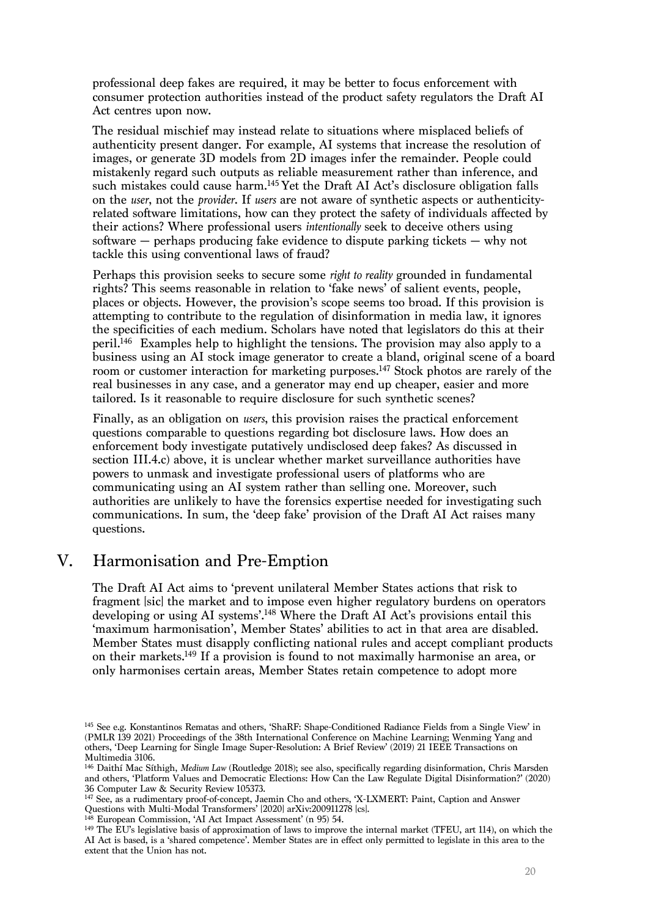professional deep fakes are required, it may be better to focus enforcement with consumer protection authorities instead of the product safety regulators the Draft AI Act centres upon now.

The residual mischief may instead relate to situations where misplaced beliefs of authenticity present danger. For example, AI systems that increase the resolution of images, or generate 3D models from 2D images infer the remainder. People could mistakenly regard such outputs as reliable measurement rather than inference, and such mistakes could cause harm. <sup>145</sup> Yet the Draft AI Act's disclosure obligation falls on the *user*, not the *provider*. If *users* are not aware of synthetic aspects or authenticityrelated software limitations, how can they protect the safety of individuals affected by their actions? Where professional users *intentionally* seek to deceive others using software — perhaps producing fake evidence to dispute parking tickets — why not tackle this using conventional laws of fraud?

Perhaps this provision seeks to secure some *right to reality* grounded in fundamental rights? This seems reasonable in relation to 'fake news' of salient events, people, places or objects. However, the provision's scope seems too broad. If this provision is attempting to contribute to the regulation of disinformation in media law, it ignores the specificities of each medium. Scholars have noted that legislators do this at their peril. <sup>146</sup> Examples help to highlight the tensions. The provision may also apply to a business using an AI stock image generator to create a bland, original scene of a board room or customer interaction for marketing purposes.<sup>147</sup> Stock photos are rarely of the real businesses in any case, and a generator may end up cheaper, easier and more tailored. Is it reasonable to require disclosure for such synthetic scenes?

Finally, as an obligation on *users*, this provision raises the practical enforcement questions comparable to questions regarding bot disclosure laws. How does an enforcement body investigate putatively undisclosed deep fakes? As discussed in section III.4.c) above, it is unclear whether market surveillance authorities have powers to unmask and investigate professional users of platforms who are communicating using an AI system rather than selling one. Moreover, such authorities are unlikely to have the forensics expertise needed for investigating such communications. In sum, the 'deep fake' provision of the Draft AI Act raises many questions.

# V. Harmonisation and Pre-Emption

The Draft AI Act aims to 'prevent unilateral Member States actions that risk to fragment [sic] the market and to impose even higher regulatory burdens on operators developing or using AI systems'.148 Where the Draft AI Act's provisions entail this 'maximum harmonisation', Member States' abilities to act in that area are disabled. Member States must disapply conflicting national rules and accept compliant products on their markets. <sup>149</sup> If a provision is found to not maximally harmonise an area, or only harmonises certain areas, Member States retain competence to adopt more

<sup>145</sup> See e.g. Konstantinos Rematas and others, 'ShaRF: Shape-Conditioned Radiance Fields from a Single View' in (PMLR 139 2021) Proceedings of the 38th International Conference on Machine Learning; Wenming Yang and others, 'Deep Learning for Single Image Super-Resolution: A Brief Review' (2019) 21 IEEE Transactions on Multimedia 3106.

<sup>146</sup> Daithí Mac Síthigh, *Medium Law* (Routledge 2018); see also, specifically regarding disinformation, Chris Marsden and others, 'Platform Values and Democratic Elections: How Can the Law Regulate Digital Disinformation?' (2020) 36 Computer Law & Security Review 105373.

<sup>147</sup> See, as a rudimentary proof-of-concept, Jaemin Cho and others, 'X-LXMERT: Paint, Caption and Answer Questions with Multi-Modal Transformers' [2020] arXiv:200911278 [cs].

European Commission, 'AI Act Impact Assessment' (n 95) 54.

<sup>149</sup> The EU's legislative basis of approximation of laws to improve the internal market (TFEU, art 114), on which the AI Act is based, is a 'shared competence'. Member States are in effect only permitted to legislate in this area to the extent that the Union has not.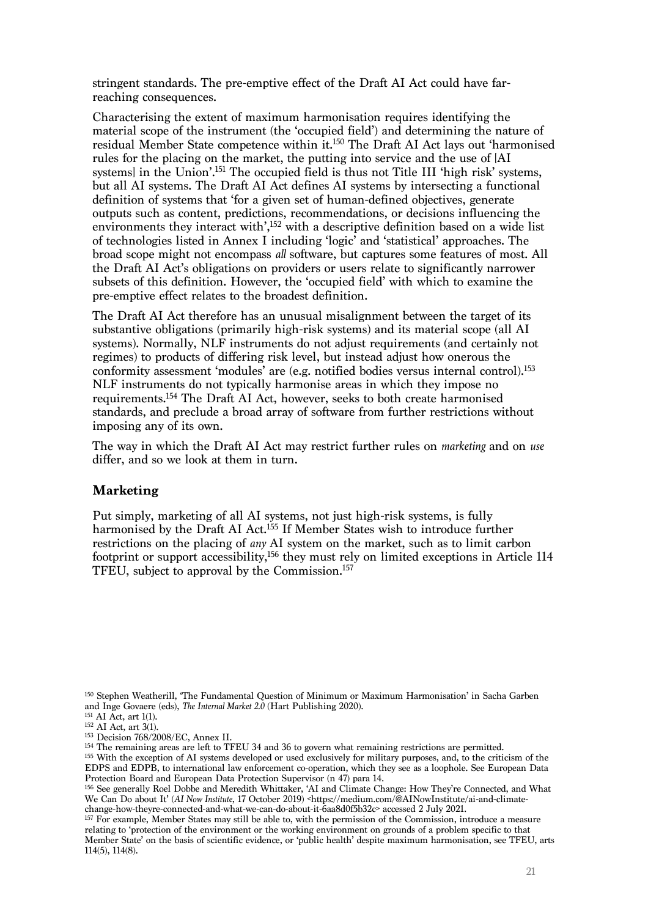stringent standards. The pre-emptive effect of the Draft AI Act could have farreaching consequences.

Characterising the extent of maximum harmonisation requires identifying the material scope of the instrument (the 'occupied field') and determining the nature of residual Member State competence within it. <sup>150</sup> The Draft AI Act lays out 'harmonised rules for the placing on the market, the putting into service and the use of [AI systems] in the Union'.151 The occupied field is thus not Title III 'high risk' systems, but all AI systems. The Draft AI Act defines AI systems by intersecting a functional definition of systems that 'for a given set of human-defined objectives, generate outputs such as content, predictions, recommendations, or decisions influencing the environments they interact with',<sup>152</sup> with a descriptive definition based on a wide list of technologies listed in Annex I including 'logic' and 'statistical' approaches. The broad scope might not encompass *all* software, but captures some features of most. All the Draft AI Act's obligations on providers or users relate to significantly narrower subsets of this definition. However, the 'occupied field' with which to examine the pre-emptive effect relates to the broadest definition.

The Draft AI Act therefore has an unusual misalignment between the target of its substantive obligations (primarily high-risk systems) and its material scope (all AI systems). Normally, NLF instruments do not adjust requirements (and certainly not regimes) to products of differing risk level, but instead adjust how onerous the conformity assessment 'modules' are (e.g. notified bodies versus internal control).153 NLF instruments do not typically harmonise areas in which they impose no requirements. <sup>154</sup> The Draft AI Act, however, seeks to both create harmonised standards, and preclude a broad array of software from further restrictions without imposing any of its own.

The way in which the Draft AI Act may restrict further rules on *marketing* and on *use* differ, and so we look at them in turn.

#### **Marketing**

Put simply, marketing of all AI systems, not just high-risk systems, is fully harmonised by the Draft AI Act.<sup>155</sup> If Member States wish to introduce further restrictions on the placing of *any* AI system on the market, such as to limit carbon footprint or support accessibility,<sup>156</sup> they must rely on limited exceptions in Article 114 TFEU, subject to approval by the Commission.157

<sup>150</sup> Stephen Weatherill, 'The Fundamental Question of Minimum or Maximum Harmonisation' in Sacha Garben and Inge Govaere (eds), *The Internal Market 2.0* (Hart Publishing 2020).

<sup>155</sup> With the exception of AI systems developed or used exclusively for military purposes, and, to the criticism of the EDPS and EDPB, to international law enforcement co-operation, which they see as a loophole. See European Data Protection Board and European Data Protection Supervisor (n 47) para 14.

<sup>157</sup> For example, Member States may still be able to, with the permission of the Commission, introduce a measure relating to 'protection of the environment or the working environment on grounds of a problem specific to that Member State' on the basis of scientific evidence, or 'public health' despite maximum harmonisation, see TFEU, arts 114(5), 114(8).

<sup>151</sup> AI Act, art 1(1).

<sup>152</sup> AI Act, art 3(1).

<sup>153</sup> Decision 768/2008/EC, Annex II.

<sup>154</sup> The remaining areas are left to TFEU 34 and 36 to govern what remaining restrictions are permitted.

<sup>156</sup> See generally Roel Dobbe and Meredith Whittaker, 'AI and Climate Change: How They're Connected, and What We Can Do about It' (*AI Now Institute*, 17 October 2019) <https://medium.com/@AINowInstitute/ai-and-climatechange-how-theyre-connected-and-what-we-can-do-about-it-6aa8d0f5b32c> accessed 2 July 2021.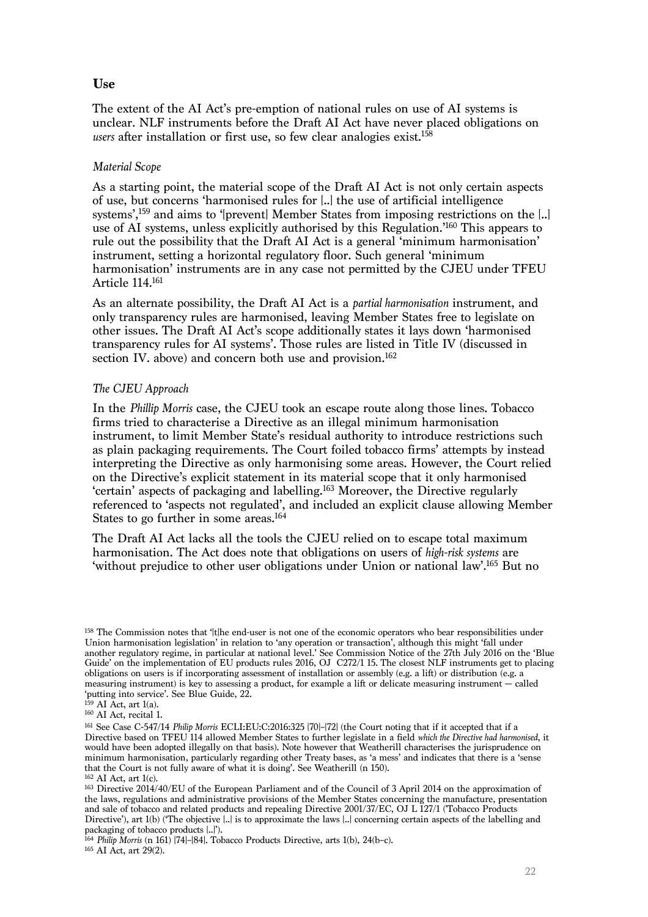# **Use**

The extent of the AI Act's pre-emption of national rules on use of AI systems is unclear. NLF instruments before the Draft AI Act have never placed obligations on *users* after installation or first use, so few clear analogies exist. 158

## *Material Scope*

As a starting point, the material scope of the Draft AI Act is not only certain aspects of use, but concerns 'harmonised rules for [..] the use of artificial intelligence systems',<sup>159</sup> and aims to '[prevent] Member States from imposing restrictions on the [..] use of AI systems, unless explicitly authorised by this Regulation.'160 This appears to rule out the possibility that the Draft AI Act is a general 'minimum harmonisation' instrument, setting a horizontal regulatory floor. Such general 'minimum harmonisation' instruments are in any case not permitted by the CJEU under TFEU Article 114.161

As an alternate possibility, the Draft AI Act is a *partial harmonisation* instrument, and only transparency rules are harmonised, leaving Member States free to legislate on other issues. The Draft AI Act's scope additionally states it lays down 'harmonised transparency rules for AI systems'. Those rules are listed in Title IV (discussed in section IV. above) and concern both use and provision.<sup>162</sup>

## *The CJEU Approach*

In the *Phillip Morris* case, the CJEU took an escape route along those lines. Tobacco firms tried to characterise a Directive as an illegal minimum harmonisation instrument, to limit Member State's residual authority to introduce restrictions such as plain packaging requirements. The Court foiled tobacco firms' attempts by instead interpreting the Directive as only harmonising some areas. However, the Court relied on the Directive's explicit statement in its material scope that it only harmonised 'certain' aspects of packaging and labelling. <sup>163</sup> Moreover, the Directive regularly referenced to 'aspects not regulated', and included an explicit clause allowing Member States to go further in some areas.<sup>164</sup>

The Draft AI Act lacks all the tools the CJEU relied on to escape total maximum harmonisation. The Act does note that obligations on users of *high-risk systems* are 'without prejudice to other user obligations under Union or national law'. <sup>165</sup> But no

<sup>158</sup> The Commission notes that '[t]he end-user is not one of the economic operators who bear responsibilities under Union harmonisation legislation' in relation to 'any operation or transaction', although this might 'fall under another regulatory regime, in particular at national level.' See Commission Notice of the 27th July 2016 on the 'Blue Guide' on the implementation of EU products rules 2016, OJ C272/1 15. The closest NLF instruments get to placing obligations on users is if incorporating assessment of installation or assembly (e.g. a lift) or distribution (e.g. a measuring instrument) is key to assessing a product, for example a lift or delicate measuring instrument — called 'putting into service'. See Blue Guide, 22.

 $159$  AI Act, art 1(a).

<sup>160</sup> AI Act, recital 1.

<sup>161</sup> See Case C-547/14 *Philip Morris* ECLI:EU:C:2016:325 [70]–[72] (the Court noting that if it accepted that if a Directive based on TFEU 114 allowed Member States to further legislate in a field *which the Directive had harmonised*, it would have been adopted illegally on that basis). Note however that Weatherill characterises the jurisprudence on minimum harmonisation, particularly regarding other Treaty bases, as 'a mess' and indicates that there is a 'sense that the Court is not fully aware of what it is doing'. See Weatherill (n 150).

<sup>162</sup> AI Act, art 1(c).

<sup>163</sup> Directive 2014/40/EU of the European Parliament and of the Council of 3 April 2014 on the approximation of the laws, regulations and administrative provisions of the Member States concerning the manufacture, presentation and sale of tobacco and related products and repealing Directive 2001/37/EC, OJ L 127/1 ('Tobacco Products Directive'), art 1(b) ('The objective [..] is to approximate the laws [..] concerning certain aspects of the labelling and packaging of tobacco products [..]').

<sup>164</sup> *Philip Morris* (n 161) [74]–[84]. Tobacco Products Directive, arts 1(b), 24(b–c).  $165$  AI Act, art 29(2).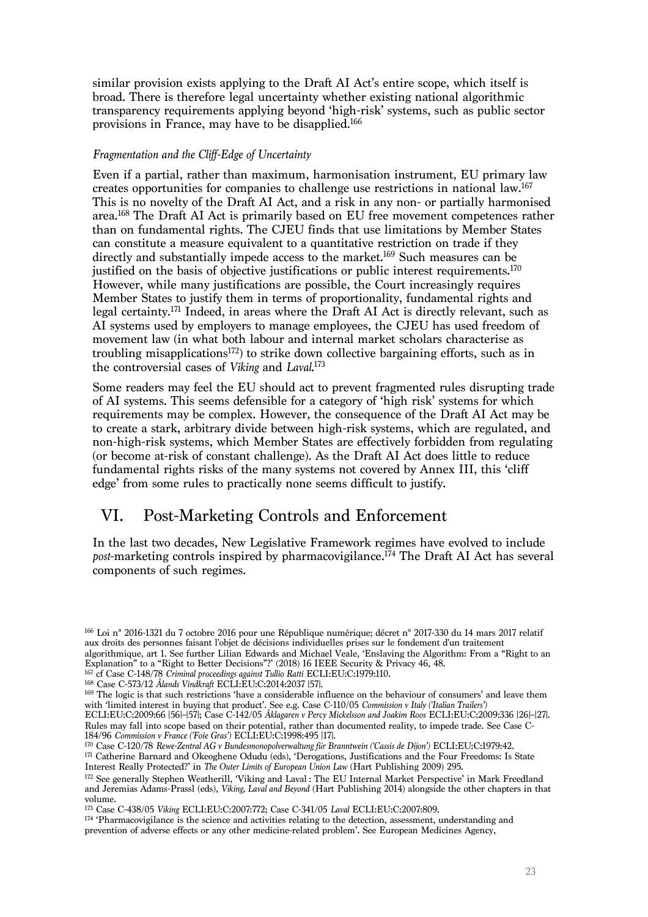similar provision exists applying to the Draft AI Act's entire scope, which itself is broad. There is therefore legal uncertainty whether existing national algorithmic transparency requirements applying beyond 'high-risk' systems, such as public sector provisions in France, may have to be disapplied.166

## *Fragmentation and the Cliff-Edge of Uncertainty*

Even if a partial, rather than maximum, harmonisation instrument, EU primary law creates opportunities for companies to challenge use restrictions in national law. 167 This is no novelty of the Draft AI Act, and a risk in any non- or partially harmonised area. <sup>168</sup> The Draft AI Act is primarily based on EU free movement competences rather than on fundamental rights. The CJEU finds that use limitations by Member States can constitute a measure equivalent to a quantitative restriction on trade if they directly and substantially impede access to the market. <sup>169</sup> Such measures can be justified on the basis of objective justifications or public interest requirements. 170 However, while many justifications are possible, the Court increasingly requires Member States to justify them in terms of proportionality, fundamental rights and legal certainty. <sup>171</sup> Indeed, in areas where the Draft AI Act is directly relevant, such as AI systems used by employers to manage employees, the CJEU has used freedom of movement law (in what both labour and internal market scholars characterise as troubling misapplications<sup>172</sup>) to strike down collective bargaining efforts, such as in the controversial cases of *Viking* and *Laval*. 173

Some readers may feel the EU should act to prevent fragmented rules disrupting trade of AI systems. This seems defensible for a category of 'high risk' systems for which requirements may be complex. However, the consequence of the Draft AI Act may be to create a stark, arbitrary divide between high-risk systems, which are regulated, and non-high-risk systems, which Member States are effectively forbidden from regulating (or become at-risk of constant challenge). As the Draft AI Act does little to reduce fundamental rights risks of the many systems not covered by Annex III, this 'cliff edge' from some rules to practically none seems difficult to justify.

# VI. Post-Marketing Controls and Enforcement

In the last two decades, New Legislative Framework regimes have evolved to include *post*-marketing controls inspired by pharmacovigilance. <sup>174</sup> The Draft AI Act has several components of such regimes.

Interest Really Protected?' in *The Outer Limits of European Union Law* (Hart Publishing 2009) 295.

<sup>166</sup> Loi n° 2016-1321 du 7 octobre 2016 pour une République numérique; décret n° 2017-330 du 14 mars 2017 relatif aux droits des personnes faisant l'objet de décisions individuelles prises sur le fondement d'un traitement algorithmique, art 1. See further Lilian Edwards and Michael Veale, 'Enslaving the Algorithm: From a "Right to an Explanation" to a "Right to Better Decisions"?' (2018) 16 IEEE Security & Privacy 46, 48.

<sup>167</sup> cf Case C-148/78 *Criminal proceedings against Tullio Ratti* ECLI:EU:C:1979:110.

<sup>168</sup> Case C-573/12 *Ålands Vindkraft* ECLI:EU:C:2014:2037 [57].

<sup>169</sup> The logic is that such restrictions 'have a considerable influence on the behaviour of consumers' and leave them with 'limited interest in buying that product'. See e.g. Case C-110/05 *Commission v Italy ('Italian Trailers')*

ECLI:EU:C:2009:66 [56]–[57]; Case C-142/05 *Åklagaren v Percy Mickelsson and Joakim Roos* ECLI:EU:C:2009:336 [26]–[27]. Rules may fall into scope based on their potential, rather than documented reality, to impede trade. See Case C-184/96 *Commission v France ('Foie Gras')* ECLI:EU:C:1998:495 [17].

<sup>170</sup> Case C-120/78 *Rewe-Zentral AG v Bundesmonopolverwaltung für Branntwein ('Cassis de Dijon')* ECLI:EU:C:1979:42. 171 Catherine Barnard and Okeoghene Odudu (eds), 'Derogations, Justifications and the Four Freedoms: Is State

<sup>172</sup> See generally Stephen Weatherill, 'Viking and Laval : The EU Internal Market Perspective' in Mark Freedland and Jeremias Adams-Prassl (eds), *Viking, Laval and Beyond* (Hart Publishing 2014) alongside the other chapters in that volume.

<sup>173</sup> Case C-438/05 *Viking* ECLI:EU:C:2007:772; Case C-341/05 *Laval* ECLI:EU:C:2007:809.

<sup>174</sup> 'Pharmacovigilance is the science and activities relating to the detection, assessment, understanding and prevention of adverse effects or any other medicine-related problem'. See European Medicines Agency,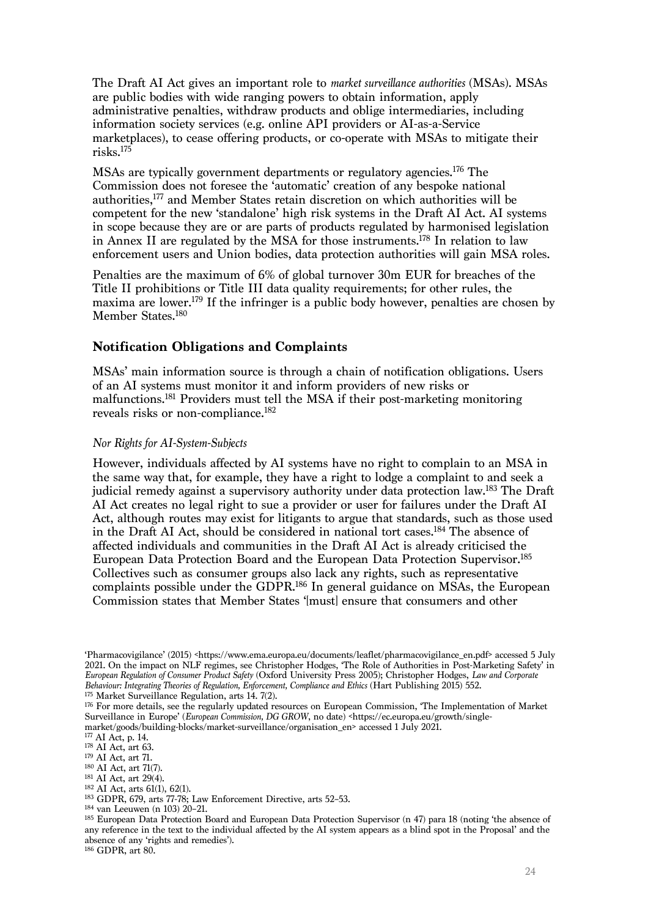The Draft AI Act gives an important role to *market surveillance authorities* (MSAs). MSAs are public bodies with wide ranging powers to obtain information, apply administrative penalties, withdraw products and oblige intermediaries, including information society services (e.g. online API providers or AI-as-a-Service marketplaces), to cease offering products, or co-operate with MSAs to mitigate their risks. 175

MSAs are typically government departments or regulatory agencies.176 The Commission does not foresee the 'automatic' creation of any bespoke national authorities,177 and Member States retain discretion on which authorities will be competent for the new 'standalone' high risk systems in the Draft AI Act. AI systems in scope because they are or are parts of products regulated by harmonised legislation in Annex II are regulated by the MSA for those instruments.178 In relation to law enforcement users and Union bodies, data protection authorities will gain MSA roles.

Penalties are the maximum of 6% of global turnover 30m EUR for breaches of the Title II prohibitions or Title III data quality requirements; for other rules, the maxima are lower. <sup>179</sup> If the infringer is a public body however, penalties are chosen by Member States.180

## **Notification Obligations and Complaints**

MSAs' main information source is through a chain of notification obligations. Users of an AI systems must monitor it and inform providers of new risks or malfunctions.181 Providers must tell the MSA if their post-marketing monitoring reveals risks or non-compliance. 182

#### *Nor Rights for AI-System-Subjects*

However, individuals affected by AI systems have no right to complain to an MSA in the same way that, for example, they have a right to lodge a complaint to and seek a judicial remedy against a supervisory authority under data protection law.<sup>183</sup> The Draft AI Act creates no legal right to sue a provider or user for failures under the Draft AI Act, although routes may exist for litigants to argue that standards, such as those used in the Draft AI Act, should be considered in national tort cases. <sup>184</sup> The absence of affected individuals and communities in the Draft AI Act is already criticised the European Data Protection Board and the European Data Protection Supervisor. 185 Collectives such as consumer groups also lack any rights, such as representative complaints possible under the GDPR. <sup>186</sup> In general guidance on MSAs, the European Commission states that Member States '[must] ensure that consumers and other

<sup>186</sup> GDPR, art 80.

<sup>&#</sup>x27;Pharmacovigilance' (2015) <https://www.ema.europa.eu/documents/leaflet/pharmacovigilance\_en.pdf> accessed 5 July 2021. On the impact on NLF regimes, see Christopher Hodges, 'The Role of Authorities in Post-Marketing Safety' in *European Regulation of Consumer Product Safety* (Oxford University Press 2005); Christopher Hodges, *Law and Corporate Behaviour: Integrating Theories of Regulation, Enforcement, Compliance and Ethics* (Hart Publishing 2015) 552.

<sup>175</sup> Market Surveillance Regulation, arts 14. 7(2).

<sup>176</sup> For more details, see the regularly updated resources on European Commission, 'The Implementation of Market Surveillance in Europe' (*European Commission, DG GROW, no date*) <https://ec.europa.eu/growth/singlemarket/goods/building-blocks/market-surveillance/organisation\_en> accessed 1 July 2021.

<sup>177</sup> AI Act, p. 14.

<sup>178</sup> AI Act, art 63.

<sup>179</sup> AI Act, art 71.

<sup>180</sup> AI Act, art 71(7).

<sup>181</sup> AI Act, art 29(4).

<sup>182</sup> AI Act, arts 61(1), 62(1).

<sup>183</sup> GDPR, 679, arts 77-78; Law Enforcement Directive, arts 52–53.

<sup>184</sup> van Leeuwen (n 103) 20–21.

<sup>185</sup> European Data Protection Board and European Data Protection Supervisor (n 47) para 18 (noting 'the absence of any reference in the text to the individual affected by the AI system appears as a blind spot in the Proposal' and the absence of any 'rights and remedies').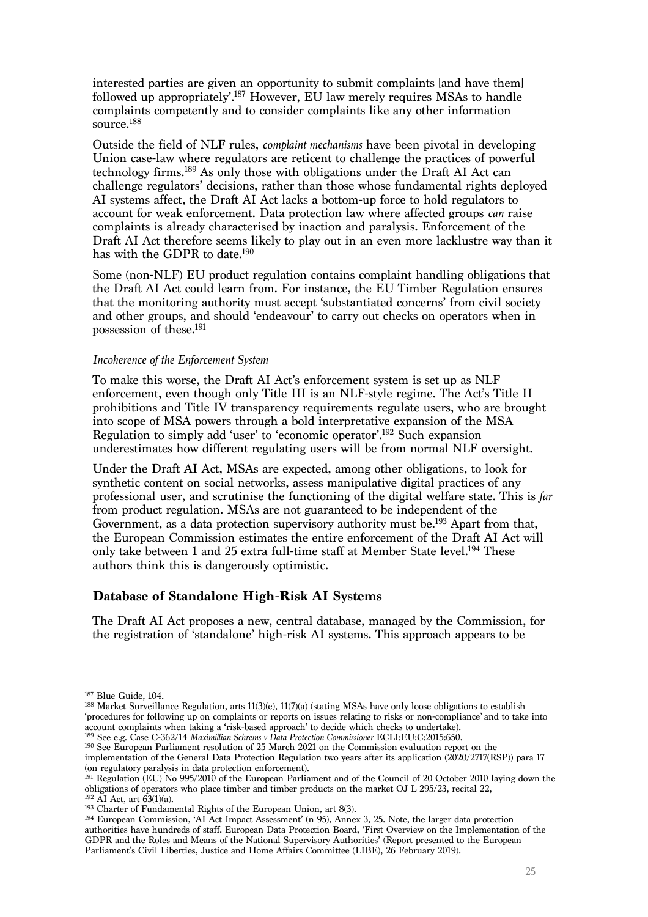interested parties are given an opportunity to submit complaints [and have them] followed up appropriately<sup>'187</sup> However, EU law merely requires MSAs to handle complaints competently and to consider complaints like any other information source. 188

Outside the field of NLF rules, *complaint mechanisms* have been pivotal in developing Union case-law where regulators are reticent to challenge the practices of powerful technology firms.189 As only those with obligations under the Draft AI Act can challenge regulators' decisions, rather than those whose fundamental rights deployed AI systems affect, the Draft AI Act lacks a bottom-up force to hold regulators to account for weak enforcement. Data protection law where affected groups *can* raise complaints is already characterised by inaction and paralysis. Enforcement of the Draft AI Act therefore seems likely to play out in an even more lacklustre way than it has with the GDPR to date.<sup>190</sup>

Some (non-NLF) EU product regulation contains complaint handling obligations that the Draft AI Act could learn from. For instance, the EU Timber Regulation ensures that the monitoring authority must accept 'substantiated concerns' from civil society and other groups, and should 'endeavour' to carry out checks on operators when in possession of these.191

#### *Incoherence of the Enforcement System*

To make this worse, the Draft AI Act's enforcement system is set up as NLF enforcement, even though only Title III is an NLF-style regime. The Act's Title II prohibitions and Title IV transparency requirements regulate users, who are brought into scope of MSA powers through a bold interpretative expansion of the MSA Regulation to simply add 'user' to 'economic operator'. <sup>192</sup> Such expansion underestimates how different regulating users will be from normal NLF oversight.

Under the Draft AI Act, MSAs are expected, among other obligations, to look for synthetic content on social networks, assess manipulative digital practices of any professional user, and scrutinise the functioning of the digital welfare state. This is *far* from product regulation. MSAs are not guaranteed to be independent of the Government, as a data protection supervisory authority must be.<sup>193</sup> Apart from that, the European Commission estimates the entire enforcement of the Draft AI Act will only take between 1 and 25 extra full-time staff at Member State level. <sup>194</sup> These authors think this is dangerously optimistic.

# **Database of Standalone High-Risk AI Systems**

The Draft AI Act proposes a new, central database, managed by the Commission, for the registration of 'standalone' high-risk AI systems. This approach appears to be

<sup>187</sup> Blue Guide, 104.

 $188$  Market Surveillance Regulation, arts  $11(3)(e)$ ,  $11(7)(a)$  (stating MSAs have only loose obligations to establish 'procedures for following up on complaints or reports on issues relating to risks or non-compliance' and to take into account complaints when taking a 'risk-based approach' to decide which checks to undertake).

<sup>189</sup> See e.g. Case C-362/14 *Maximillian Schrems v Data Protection Commissioner* ECLI:EU:C:2015:650.

<sup>&</sup>lt;sup>190</sup> See European Parliament resolution of 25 March 2021 on the Commission evaluation report on the implementation of the General Data Protection Regulation two years after its application (2020/2717(RSP)) para 17 (on regulatory paralysis in data protection enforcement).

<sup>&</sup>lt;sup>191</sup> Regulation (EU) No 995/2010 of the European Parliament and of the Council of 20 October 2010 laying down the obligations of operators who place timber and timber products on the market OJ L 295/23, recital 22,  $192$  AI Act, art 63(1)(a).

<sup>193</sup> Charter of Fundamental Rights of the European Union, art 8(3).

<sup>194</sup> European Commission, 'AI Act Impact Assessment' (n 95), Annex 3, 25. Note, the larger data protection authorities have hundreds of staff. European Data Protection Board, 'First Overview on the Implementation of the GDPR and the Roles and Means of the National Supervisory Authorities' (Report presented to the European Parliament's Civil Liberties, Justice and Home Affairs Committee (LIBE), 26 February 2019).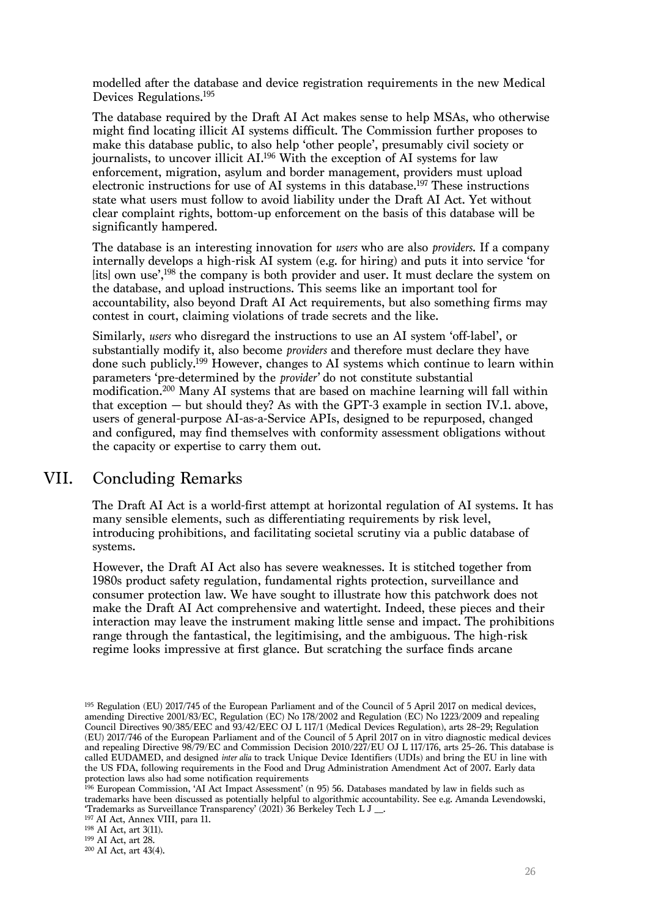modelled after the database and device registration requirements in the new Medical Devices Regulations. 195

The database required by the Draft AI Act makes sense to help MSAs, who otherwise might find locating illicit AI systems difficult. The Commission further proposes to make this database public, to also help 'other people', presumably civil society or journalists, to uncover illicit AI. <sup>196</sup> With the exception of AI systems for law enforcement, migration, asylum and border management, providers must upload electronic instructions for use of AI systems in this database.197 These instructions state what users must follow to avoid liability under the Draft AI Act. Yet without clear complaint rights, bottom-up enforcement on the basis of this database will be significantly hampered.

The database is an interesting innovation for *users* who are also *providers*. If a company internally develops a high-risk AI system (e.g. for hiring) and puts it into service 'for [its] own use',<sup>198</sup> the company is both provider and user. It must declare the system on the database, and upload instructions. This seems like an important tool for accountability, also beyond Draft AI Act requirements, but also something firms may contest in court, claiming violations of trade secrets and the like.

Similarly, *users* who disregard the instructions to use an AI system 'off-label', or substantially modify it, also become *providers* and therefore must declare they have done such publicly.199 However, changes to AI systems which continue to learn within parameters 'pre-determined by the *provider'* do not constitute substantial modification.200 Many AI systems that are based on machine learning will fall within that exception — but should they? As with the GPT-3 example in section IV.1. above, users of general-purpose AI-as-a-Service APIs, designed to be repurposed, changed and configured, may find themselves with conformity assessment obligations without the capacity or expertise to carry them out.

# VII. Concluding Remarks

The Draft AI Act is a world-first attempt at horizontal regulation of AI systems. It has many sensible elements, such as differentiating requirements by risk level, introducing prohibitions, and facilitating societal scrutiny via a public database of systems.

However, the Draft AI Act also has severe weaknesses. It is stitched together from 1980s product safety regulation, fundamental rights protection, surveillance and consumer protection law. We have sought to illustrate how this patchwork does not make the Draft AI Act comprehensive and watertight. Indeed, these pieces and their interaction may leave the instrument making little sense and impact. The prohibitions range through the fantastical, the legitimising, and the ambiguous. The high-risk regime looks impressive at first glance. But scratching the surface finds arcane

<sup>196</sup> European Commission, 'AI Act Impact Assessment' (n 95) 56. Databases mandated by law in fields such as trademarks have been discussed as potentially helpful to algorithmic accountability. See e.g. Amanda Levendowski, 'Trademarks as Surveillance Transparency' (2021) 36 Berkeley Tech L J \_\_.

<sup>197</sup> AI Act, Annex VIII, para 11.

<sup>198</sup> AI Act, art 3(11).

<sup>199</sup> AI Act, art 28.

<sup>195</sup> Regulation (EU) 2017/745 of the European Parliament and of the Council of 5 April 2017 on medical devices, amending Directive 2001/83/EC, Regulation (EC) No 178/2002 and Regulation (EC) No 1223/2009 and repealing Council Directives 90/385/EEC and 93/42/EEC OJ L 117/1 (Medical Devices Regulation), arts 28–29; Regulation (EU) 2017/746 of the European Parliament and of the Council of 5 April 2017 on in vitro diagnostic medical devices and repealing Directive 98/79/EC and Commission Decision 2010/227/EU OJ L 117/176, arts 25–26. This database is called EUDAMED, and designed *inter alia* to track Unique Device Identifiers (UDIs) and bring the EU in line with the US FDA, following requirements in the Food and Drug Administration Amendment Act of 2007. Early data protection laws also had some notification requirements

<sup>200</sup> AI Act, art 43(4).